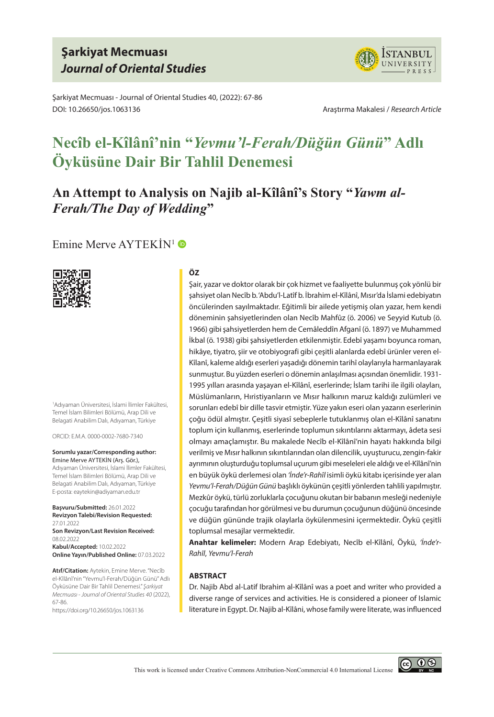## **Şarkiyat Mecmuası** *Journal of Oriental Studies*



Şarkiyat Mecmuası - Journal of Oriental Studies 40, (2022): 67-86 DOI: 10.26650/jos.1063136 Araştırma Makalesi / *Research Article*

# **Necîb el-Kîlânî'nin "***Yevmu'l-Ferah/Düğün Günü***" Adlı Öyküsüne Dair Bir Tahlil Denemesi**

# **An Attempt to Analysis on Najib al-Kîlânî's Story "***Yawm al-Ferah/The Day of Wedding***"**

### Emine Merve AYTEKIN<sup>1</sup>



1 Adıyaman Üniversitesi, İslami İlimler Fakültesi, Temel İslam Bilimleri Bölümü, Arap Dili ve Belagati Anabilim Dalı, Adıyaman, Türkiye

ORCID: E.M.A. 0000-0002-7680-7340

**Sorumlu yazar/Corresponding author:** Emine Merve AYTEKIN (Arş. Gör.), Adıyaman Üniversitesi, İslami İlimler Fakültesi, Temel İslam Bilimleri Bölümü, Arap Dili ve Belagati Anabilim Dalı, Adıyaman, Türkiye E-posta: eaytekin@adiyaman.edu.tr

**Başvuru/Submitted:** 26.01.2022 **Revizyon Talebi/Revision Requested:**  27.01.2022 **Son Revizyon/Last Revision Received:**  08.02.2022

**Kabul/Accepted:** 10.02.2022 **Online Yayın/Published Online:** 07.03.2022

**Atıf/Citation:** Aytekin, Emine Merve. "Necîb el-Kîlânî'nin "Yevmu'l-Ferah/Düğün Günü" Adlı Öyküsüne Dair Bir Tahlil Denemesi." *Şarkiyat Mecmuası - Journal of Oriental Studies 40* (2022), 67-86.

https://doi.org/10.26650/jos.1063136

#### **ÖZ**

Şair, yazar ve doktor olarak bir çok hizmet ve faaliyette bulunmuş çok yönlü bir şahsiyet olan Necîb b. 'Abdu'l-Latîf b. İbrahim el-Kîlânî, Mısır'da İslami edebiyatın öncülerinden sayılmaktadır. Eğitimli bir ailede yetişmiş olan yazar, hem kendi döneminin şahsiyetlerinden olan Necîb Mahfûz (ö. 2006) ve Seyyid Kutub (ö. 1966) gibi şahsiyetlerden hem de Cemâleddîn Afganî (ö. 1897) ve Muhammed İkbal (ö. 1938) gibi şahsiyetlerden etkilenmiştir. Edebî yaşamı boyunca roman, hikâye, tiyatro, şiir ve otobiyografi gibi çeşitli alanlarda edebî ürünler veren el-Kîlanî, kaleme aldığı eserleri yaşadığı dönemin tarihî olaylarıyla harmanlayarak sunmuştur. Bu yüzden eserleri o dönemin anlaşılması açısından önemlidir. 1931- 1995 yılları arasında yaşayan el-Kîlânî, eserlerinde; İslam tarihi ile ilgili olayları, Müslümanların, Hıristiyanların ve Mısır halkının maruz kaldığı zulümleri ve sorunları edebî bir dille tasvir etmiştir. Yüze yakın eseri olan yazarın eserlerinin çoğu ödül almıştır. Çeşitli siyasî sebeplerle tutuklanmış olan el-Kîlânî sanatını toplum için kullanmış, eserlerinde toplumun sıkıntılarını aktarmayı, âdeta sesi olmayı amaçlamıştır. Bu makalede Necîb el-Kîlânî'nin hayatı hakkında bilgi verilmiş ve Mısır halkının sıkıntılarından olan dilencilik, uyuşturucu, zengin-fakir ayrımının oluşturduğu toplumsal uçurum gibi meseleleri ele aldığı ve el-Kîlânî'nin en büyük öykü derlemesi olan *'İnde'r-Rahîl* isimli öykü kitabı içerisinde yer alan *Yevmu'l-Ferah/Düğün Günü* başlıklı öykünün çeşitli yönlerden tahlili yapılmıştır. Mezkûr öykü, türlü zorluklarla çocuğunu okutan bir babanın mesleği nedeniyle çocuğu tarafından hor görülmesi ve bu durumun çocuğunun düğünü öncesinde ve düğün gününde trajik olaylarla öykülenmesini içermektedir. Öykü çeşitli toplumsal mesajlar vermektedir.

**Anahtar kelimeler:** Modern Arap Edebiyatı, Necîb el-Kîlânî, Öykü, *'İnde'r-Rahîl*, *Yevmu'l-Ferah*

#### **ABSTRACT**

Dr. Najib Abd al-Latif Ibrahim al-Kîlânî was a poet and writer who provided a diverse range of services and activities. He is considered a pioneer of Islamic literature in Egypt. Dr. Najib al-Kîlâni, whose family were literate, was influenced

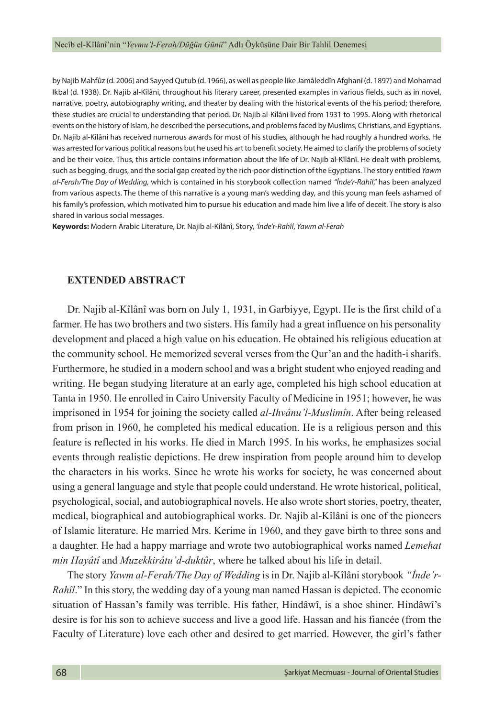by Najib Mahfûz (d. 2006) and Sayyed Qutub (d. 1966), as well as people like Jamâleddîn Afghanî (d. 1897) and Mohamad Ikbal (d. 1938). Dr. Najib al-Kîlâni, throughout his literary career, presented examples in various fields, such as in novel, narrative, poetry, autobiography writing, and theater by dealing with the historical events of the his period; therefore, these studies are crucial to understanding that period. Dr. Najib al-Kîlâni lived from 1931 to 1995. Along with rhetorical events on the history of Islam, he described the persecutions, and problems faced by Muslims, Christians, and Egyptians. Dr. Najib al-Kîlâni has received numerous awards for most of his studies, although he had roughly a hundred works. He was arrested for various political reasons but he used his art to benefit society. He aimed to clarify the problems of society and be their voice. Thus, this article contains information about the life of Dr. Najib al-Kîlânî. He dealt with problems, such as begging, drugs, and the social gap created by the rich-poor distinction of the Egyptians. The story entitled *Yawm al-Ferah/The Day of Wedding,* which is contained in his storybook collection named *"İnde'r-Rahîl*," has been analyzed from various aspects. The theme of this narrative is a young man's wedding day, and this young man feels ashamed of his family's profession, which motivated him to pursue his education and made him live a life of deceit. The story is also shared in various social messages.

**Keywords:** Modern Arabic Literature, Dr. Najib al-Kîlânî, Story, *'İnde'r-Rahîl*, *Yawm al-Ferah*

#### **EXTENDED ABSTRACT**

Dr. Najib al-Kîlânî was born on July 1, 1931, in Garbiyye, Egypt. He is the first child of a farmer. He has two brothers and two sisters. His family had a great influence on his personality development and placed a high value on his education. He obtained his religious education at the community school. He memorized several verses from the Qur'an and the hadith-i sharifs. Furthermore, he studied in a modern school and was a bright student who enjoyed reading and writing. He began studying literature at an early age, completed his high school education at Tanta in 1950. He enrolled in Cairo University Faculty of Medicine in 1951; however, he was imprisoned in 1954 for joining the society called *al-Ihvânu'l-Muslimîn*. After being released from prison in 1960, he completed his medical education. He is a religious person and this feature is reflected in his works. He died in March 1995. In his works, he emphasizes social events through realistic depictions. He drew inspiration from people around him to develop the characters in his works. Since he wrote his works for society, he was concerned about using a general language and style that people could understand. He wrote historical, political, psychological, social, and autobiographical novels. He also wrote short stories, poetry, theater, medical, biographical and autobiographical works. Dr. Najib al-Kîlâni is one of the pioneers of Islamic literature. He married Mrs. Kerime in 1960, and they gave birth to three sons and a daughter. He had a happy marriage and wrote two autobiographical works named *Lemehat min Hayâtî* and *Muzekkirâtu'd-duktûr*, where he talked about his life in detail.

The story *Yawm al-Ferah/The Day of Wedding* is in Dr. Najib al-Kîlâni storybook *"İnde'r-Rahîl*." In this story, the wedding day of a young man named Hassan is depicted. The economic situation of Hassan's family was terrible. His father, Hindâwî, is a shoe shiner. Hindâwî's desire is for his son to achieve success and live a good life. Hassan and his fiancée (from the Faculty of Literature) love each other and desired to get married. However, the girl's father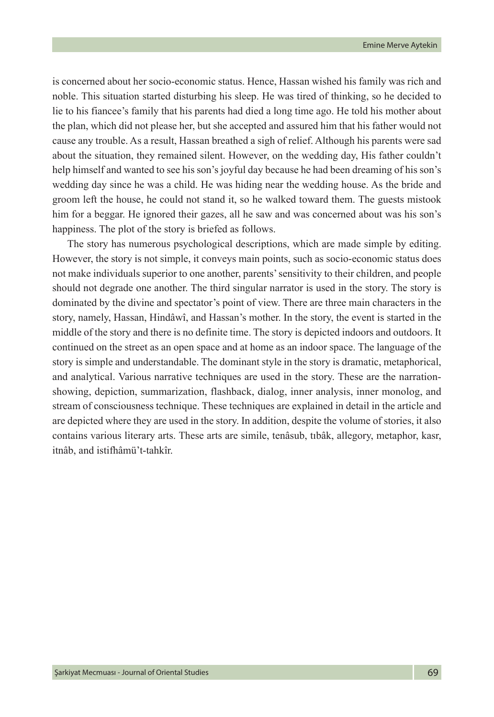is concerned about her socio-economic status. Hence, Hassan wished his family was rich and noble. This situation started disturbing his sleep. He was tired of thinking, so he decided to lie to his fiancee's family that his parents had died a long time ago. He told his mother about the plan, which did not please her, but she accepted and assured him that his father would not cause any trouble. As a result, Hassan breathed a sigh of relief. Although his parents were sad about the situation, they remained silent. However, on the wedding day, His father couldn't help himself and wanted to see his son's joyful day because he had been dreaming of his son's wedding day since he was a child. He was hiding near the wedding house. As the bride and groom left the house, he could not stand it, so he walked toward them. The guests mistook him for a beggar. He ignored their gazes, all he saw and was concerned about was his son's happiness. The plot of the story is briefed as follows.

The story has numerous psychological descriptions, which are made simple by editing. However, the story is not simple, it conveys main points, such as socio-economic status does not make individuals superior to one another, parents' sensitivity to their children, and people should not degrade one another. The third singular narrator is used in the story. The story is dominated by the divine and spectator's point of view. There are three main characters in the story, namely, Hassan, Hindâwî, and Hassan's mother. In the story, the event is started in the middle of the story and there is no definite time. The story is depicted indoors and outdoors. It continued on the street as an open space and at home as an indoor space. The language of the story is simple and understandable. The dominant style in the story is dramatic, metaphorical, and analytical. Various narrative techniques are used in the story. These are the narrationshowing, depiction, summarization, flashback, dialog, inner analysis, inner monolog, and stream of consciousness technique. These techniques are explained in detail in the article and are depicted where they are used in the story. In addition, despite the volume of stories, it also contains various literary arts. These arts are simile, tenâsub, tıbâk, allegory, metaphor, kasr, itnâb, and istifhâmü't-tahkîr.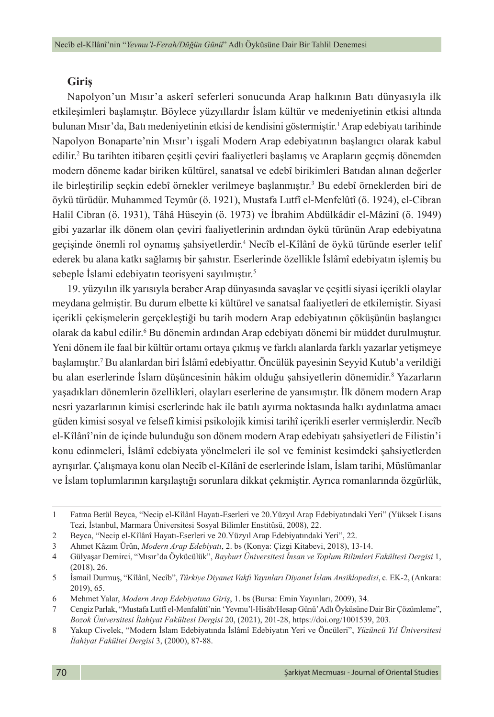#### **Giriş**

Napolyon'un Mısır'a askerî seferleri sonucunda Arap halkının Batı dünyasıyla ilk etkileşimleri başlamıştır. Böylece yüzyıllardır İslam kültür ve medeniyetinin etkisi altında bulunan Mısır'da, Batı medeniyetinin etkisi de kendisini göstermiştir.<sup>1</sup> Arap edebiyatı tarihinde Napolyon Bonaparte'nin Mısır'ı işgali Modern Arap edebiyatının başlangıcı olarak kabul edilir.<sup>2</sup> Bu tarihten itibaren çeşitli çeviri faaliyetleri başlamış ve Arapların geçmiş dönemden modern döneme kadar biriken kültürel, sanatsal ve edebî birikimleri Batıdan alınan değerler ile birleştirilip seçkin edebî örnekler verilmeye başlanmıştır.<sup>3</sup> Bu edebî örneklerden biri de öykü türüdür. Muhammed Teymûr (ö. 1921), Mustafa Lutfî el-Menfelûtî (ö. 1924), el-Cibran Halil Cibran (ö. 1931), Tâhâ Hüseyin (ö. 1973) ve İbrahim Abdülkâdir el-Mâzinî (ö. 1949) gibi yazarlar ilk dönem olan çeviri faaliyetlerinin ardından öykü türünün Arap edebiyatına geçişinde önemli rol oynamış şahsiyetlerdir.4 Necîb el-Kîlânî de öykü türünde eserler telif ederek bu alana katkı sağlamış bir şahıstır. Eserlerinde özellikle İslâmî edebiyatın işlemiş bu sebeple İslami edebiyatın teorisyeni sayılmıştır.<sup>5</sup>

19. yüzyılın ilk yarısıyla beraber Arap dünyasında savaşlar ve çeşitli siyasi içerikli olaylar meydana gelmiştir. Bu durum elbette ki kültürel ve sanatsal faaliyetleri de etkilemiştir. Siyasi içerikli çekişmelerin gerçekleştiği bu tarih modern Arap edebiyatının çöküşünün başlangıcı olarak da kabul edilir.6 Bu dönemin ardından Arap edebiyatı dönemi bir müddet durulmuştur. Yeni dönem ile faal bir kültür ortamı ortaya çıkmış ve farklı alanlarda farklı yazarlar yetişmeye başlamıştır.7 Bu alanlardan biri İslâmî edebiyattır. Öncülük payesinin Seyyid Kutub'a verildiği bu alan eserlerinde İslam düşüncesinin hâkim olduğu şahsiyetlerin dönemidir.<sup>8</sup> Yazarların yaşadıkları dönemlerin özellikleri, olayları eserlerine de yansımıştır. İlk dönem modern Arap nesri yazarlarının kimisi eserlerinde hak ile batılı ayırma noktasında halkı aydınlatma amacı güden kimisi sosyal ve felsefî kimisi psikolojik kimisi tarihî içerikli eserler vermişlerdir. Necîb el-Kîlânî'nin de içinde bulunduğu son dönem modern Arap edebiyatı şahsiyetleri de Filistin'i konu edinmeleri, İslâmî edebiyata yönelmeleri ile sol ve feminist kesimdeki şahsiyetlerden ayrışırlar. Çalışmaya konu olan Necîb el-Kîlânî de eserlerinde İslam, İslam tarihi, Müslümanlar ve İslam toplumlarının karşılaştığı sorunlara dikkat çekmiştir. Ayrıca romanlarında özgürlük,

<sup>1</sup> Fatma Betül Beyca, "Necip el-Kîlânî Hayatı-Eserleri ve 20.Yüzyıl Arap Edebiyatındaki Yeri" (Yüksek Lisans Tezi, İstanbul, Marmara Üniversitesi Sosyal Bilimler Enstitüsü, 2008), 22.

<sup>2</sup> Beyca, "Necip el-Kîlânî Hayatı-Eserleri ve 20.Yüzyıl Arap Edebiyatındaki Yeri", 22.

<sup>3</sup> Ahmet Kâzım Ürün, *Modern Arap Edebiyatı*, 2. bs (Konya: Çizgi Kitabevi, 2018), 13-14.

<sup>4</sup> Gülyaşar Demirci, "Mısır'da Öykücülük", *Bayburt Üniversitesi İnsan ve Toplum Bilimleri Fakültesi Dergisi* 1, (2018), 26.

<sup>5</sup> İsmail Durmuş, "Kîlânî, Necîb", *Türkiye Diyanet Vakfı Yayınları Diyanet İslam Ansiklopedisi*, c. EK-2, (Ankara: 2019), 65.

<sup>6</sup> Mehmet Yalar, *Modern Arap Edebiyatına Giriş*, 1. bs (Bursa: Emin Yayınları, 2009), 34.

<sup>7</sup> Cengiz Parlak, "Mustafa Lutfî el-Menfalûtî'nin 'Yevmu'l-Hisâb/Hesap Günü' Adlı Öyküsüne Dair Bir Çözümleme", *Bozok Üniversitesi İlahiyat Fakültesi Dergisi* 20, (2021), 201-28, https://doi.org/1001539, 203.

<sup>8</sup> Yakup Civelek, "Modern İslam Edebiyatında İslâmî Edebiyatın Yeri ve Öncüleri", *Yüzüncü Yıl Üniversitesi İlahiyat Fakültei Dergisi* 3, (2000), 87-88.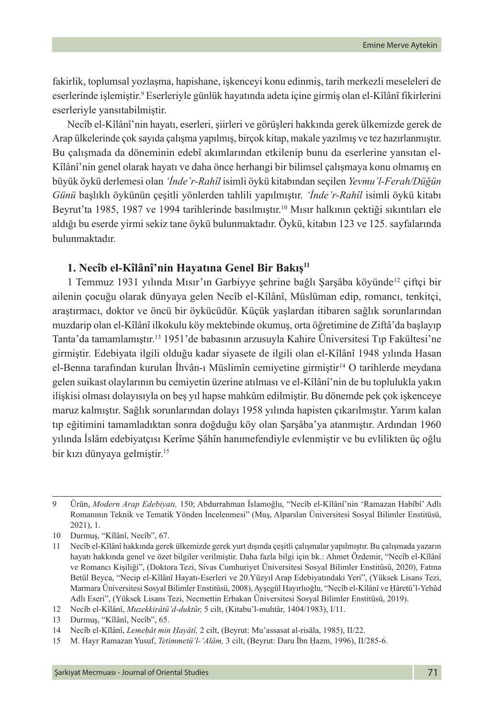fakirlik, toplumsal yozlaşma, hapishane, işkenceyi konu edinmiş, tarih merkezli meseleleri de eserlerinde işlemiştir.<sup>9</sup> Eserleriyle günlük hayatında adeta içine girmiş olan el-Kîlânî fikirlerini eserleriyle yansıtabilmiştir.

Necîb el-Kîlânî'nin hayatı, eserleri, şiirleri ve görüşleri hakkında gerek ülkemizde gerek de Arap ülkelerinde çok sayıda çalışma yapılmış, birçok kitap, makale yazılmış ve tez hazırlanmıştır. Bu çalışmada da döneminin edebî akımlarından etkilenip bunu da eserlerine yansıtan el-Kîlânî'nin genel olarak hayatı ve daha önce herhangi bir bilimsel çalışmaya konu olmamış en büyük öykü derlemesi olan *'İnde'r-Rahîl* isimli öykü kitabından seçilen *Yevmu'l-Ferah/Düğün Günü* başlıklı öykünün çeşitli yönlerden tahlili yapılmıştır. *'İnde'r-Rahîl* isimli öykü kitabı Beyrut'ta 1985, 1987 ve 1994 tarihlerinde basılmıştır.<sup>10</sup> Mısır halkının çektiği sıkıntıları ele aldığı bu eserde yirmi sekiz tane öykü bulunmaktadır. Öykü, kitabın 123 ve 125. sayfalarında bulunmaktadır.

### **1. Necîb el-Kîlânî'nin Hayatına Genel Bir Bakış<sup>11</sup>**

1 Temmuz 1931 yılında Mısır'ın Garbiyye şehrine bağlı Şarşâba köyünde<sup>12</sup> çiftçi bir ailenin çocuğu olarak dünyaya gelen Necîb el-Kîlânî, Müslüman edip, romancı, tenkitçi, araştırmacı, doktor ve öncü bir öykücüdür. Küçük yaşlardan itibaren sağlık sorunlarından muzdarip olan el-Kîlânî ilkokulu köy mektebinde okumuş, orta öğretimine de Ziftâ'da başlayıp Tanta'da tamamlamıştır.13 1951'de babasının arzusuyla Kahire Üniversitesi Tıp Fakültesi'ne girmiştir. Edebiyata ilgili olduğu kadar siyasete de ilgili olan el-Kîlânî 1948 yılında Hasan el-Benna tarafından kurulan İhvân-ı Müslimîn cemiyetine girmiştir14 O tarihlerde meydana gelen suikast olaylarının bu cemiyetin üzerine atılması ve el-Kîlânî'nin de bu toplulukla yakın ilişkisi olması dolayısıyla on beş yıl hapse mahkûm edilmiştir. Bu dönemde pek çok işkenceye maruz kalmıştır. Sağlık sorunlarından dolayı 1958 yılında hapisten çıkarılmıştır. Yarım kalan tıp eğitimini tamamladıktan sonra doğduğu köy olan Şarşâba'ya atanmıştır. Ardından 1960 yılında İslâm edebiyatçısı Kerîme Şâhîn hanımefendiyle evlenmiştir ve bu evlilikten üç oğlu bir kızı dünyaya gelmiştir.15

<sup>9</sup> Ürün, *Modern Arap Edebiyatı,* 150; Abdurrahman İslamoğlu, "Necîb el-Kîlânî'nin 'Ramazan Habîbî' Adlı Romanının Teknik ve Tematik Yönden İncelenmesi" (Muş, Alparslan Üniversitesi Sosyal Bilimler Enstitüsü, 2021), 1.

<sup>10</sup> Durmuş, "Kîlânî, Necîb", 67.

<sup>11</sup> Necîb el-Kîlânî hakkında gerek ülkemizde gerek yurt dışında çeşitli çalışmalar yapılmıştır. Bu çalışmada yazarın hayatı hakkında genel ve özet bilgiler verilmiştir. Daha fazla bilgi için bk.: Ahmet Özdemir, "Necîb el-Kîlânî ve Romancı Kişiliği", (Doktora Tezi, Sivas Cumhuriyet Üniversitesi Sosyal Bilimler Enstitüsü, 2020), Fatma Betül Beyca, "Necip el-Kîlânî Hayatı-Eserleri ve 20.Yüzyıl Arap Edebiyatındaki Yeri", (Yüksek Lisans Tezi, Marmara Üniversitesi Sosyal Bilimler Enstitüsü, 2008), Ayşegül Hayırlıoğlu, "Necîb el-Kîlânî ve Ḥâretü'l-Yehûd Adlı Eseri", (Yüksek Lisans Tezi, Necmettin Erbakan Üniversitesi Sosyal Bilimler Enstitüsü, 2019).

<sup>12</sup> Necîb el-Kîlânî, *Muzekkirâtü'd-duktûr,* 5 cilt, (Kitabu'l-muhtâr, 1404/1983), I/11.

<sup>13</sup> Durmuş, "Kîlânî, Necîb", 65.

<sup>14</sup> Necîb el-Kîlânî, *Lemeḥât min Ḥayâtî,* 2 cilt, (Beyrut: Mu'assasat al-risāla, 1985), II/22.

<sup>15</sup> M. Hayr Ramazan Yusuf, *Tetimmetü'l-'Alâm,* 3 cilt, (Beyrut: Daru İbn Ḥazm, 1996), II/285-6.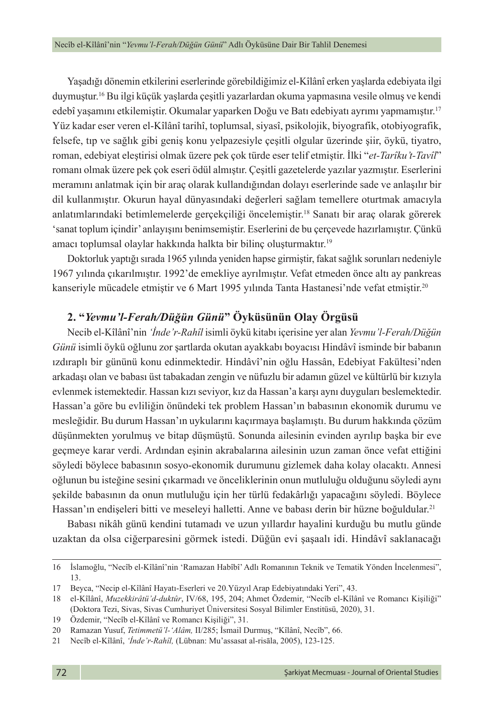Yaşadığı dönemin etkilerini eserlerinde görebildiğimiz el-Kîlânî erken yaşlarda edebiyata ilgi duymuştur.16 Bu ilgi küçük yaşlarda çeşitli yazarlardan okuma yapmasına vesile olmuş ve kendi edebî yaşamını etkilemiştir. Okumalar yaparken Doğu ve Batı edebiyatı ayrımı yapmamıştır.<sup>17</sup> Yüz kadar eser veren el-Kîlânî tarihî, toplumsal, siyasî, psikolojik, biyografik, otobiyografik, felsefe, tıp ve sağlık gibi geniş konu yelpazesiyle çeşitli olgular üzerinde şiir, öykü, tiyatro, roman, edebiyat eleştirisi olmak üzere pek çok türde eser telif etmiştir. İlki "*et-Tarîku't-Tavîl*" romanı olmak üzere pek çok eseri ödül almıştır. Çeşitli gazetelerde yazılar yazmıştır. Eserlerini meramını anlatmak için bir araç olarak kullandığından dolayı eserlerinde sade ve anlaşılır bir dil kullanmıştır. Okurun hayal dünyasındaki değerleri sağlam temellere oturtmak amacıyla anlatımlarındaki betimlemelerde gerçekçiliği öncelemiştir.<sup>18</sup> Sanatı bir araç olarak görerek 'sanat toplum içindir' anlayışını benimsemiştir. Eserlerini de bu çerçevede hazırlamıştır. Çünkü amacı toplumsal olaylar hakkında halkta bir bilinç oluşturmaktır. 19

Doktorluk yaptığı sırada 1965 yılında yeniden hapse girmiştir, fakat sağlık sorunları nedeniyle 1967 yılında çıkarılmıştır. 1992'de emekliye ayrılmıştır. Vefat etmeden önce altı ay pankreas kanseriyle mücadele etmiştir ve 6 Mart 1995 yılında Tanta Hastanesi'nde vefat etmiştir.<sup>20</sup>

### **2. "***Yevmu'l-Ferah/Düğün Günü***" Öyküsünün Olay Örgüsü**

Necib el-Kîlânî'nin *'İnde'r-Rahîl* isimli öykü kitabı içerisine yer alan *Yevmu'l-Ferah/Düğün Günü* isimli öykü oğlunu zor şartlarda okutan ayakkabı boyacısı Hindâvî isminde bir babanın ızdıraplı bir gününü konu edinmektedir. Hindâvî'nin oğlu Hassân, Edebiyat Fakültesi'nden arkadaşı olan ve babası üst tabakadan zengin ve nüfuzlu bir adamın güzel ve kültürlü bir kızıyla evlenmek istemektedir. Hassan kızı seviyor, kız da Hassan'a karşı aynı duyguları beslemektedir. Hassan'a göre bu evliliğin önündeki tek problem Hassan'ın babasının ekonomik durumu ve mesleğidir. Bu durum Hassan'ın uykularını kaçırmaya başlamıştı. Bu durum hakkında çözüm düşünmekten yorulmuş ve bitap düşmüştü. Sonunda ailesinin evinden ayrılıp başka bir eve geçmeye karar verdi. Ardından eşinin akrabalarına ailesinin uzun zaman önce vefat ettiğini söyledi böylece babasının sosyo-ekonomik durumunu gizlemek daha kolay olacaktı. Annesi oğlunun bu isteğine sesini çıkarmadı ve önceliklerinin onun mutluluğu olduğunu söyledi aynı şekilde babasının da onun mutluluğu için her türlü fedakârlığı yapacağını söyledi. Böylece Hassan'ın endişeleri bitti ve meseleyi halletti. Anne ve babası derin bir hüzne boğuldular.<sup>21</sup>

Babası nikâh günü kendini tutamadı ve uzun yıllardır hayalini kurduğu bu mutlu günde uzaktan da olsa ciğerparesini görmek istedi. Düğün evi şaşaalı idi. Hindâvî saklanacağı

<sup>16</sup> İslamoğlu, "Necîb el-Kîlânî'nin 'Ramazan Habîbî' Adlı Romanının Teknik ve Tematik Yönden İncelenmesi", 13.

<sup>17</sup> Beyca, "Necip el-Kîlânî Hayatı-Eserleri ve 20.Yüzyıl Arap Edebiyatındaki Yeri", 43.

<sup>18</sup> el-Kîlânî, *Muzekkirâtü'd-duktûr*, IV/68, 195, 204; Ahmet Özdemir, "Necîb el-Kîlânî ve Romancı Kişiliği" (Doktora Tezi, Sivas, Sivas Cumhuriyet Üniversitesi Sosyal Bilimler Enstitüsü, 2020), 31.

<sup>19</sup> Özdemir, "Necîb el-Kîlânî ve Romancı Kişiliği", 31.

<sup>20</sup> Ramazan Yusuf, *Tetimmetü'l-'Alâm,* II/285; İsmail Durmuş, "Kîlânî, Necîb", 66.

<sup>21</sup> Necîb el-Kîlânî, *'İnde'r-Rahîl,* (Lübnan: Mu'assasat al-risāla, 2005), 123-125.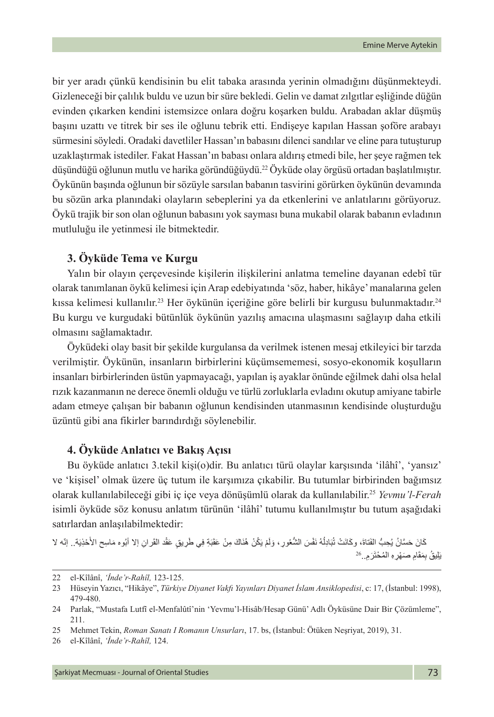bir yer aradı çünkü kendisinin bu elit tabaka arasında yerinin olmadığını düşünmekteydi. Gizleneceği bir çalılık buldu ve uzun bir süre bekledi. Gelin ve damat zılgıtlar eşliğinde düğün evinden çıkarken kendini istemsizce onlara doğru koşarken buldu. Arabadan aklar düşmüş başını uzattı ve titrek bir ses ile oğlunu tebrik etti. Endişeye kapılan Hassan şoföre arabayı sürmesini söyledi. Oradaki davetliler Hassan'ın babasını dilenci sandılar ve eline para tutuşturup uzaklaştırmak istediler. Fakat Hassan'ın babası onlara aldırış etmedi bile, her şeye rağmen tek düşündüğü oğlunun mutlu ve harika göründüğüydü.<sup>22</sup> Öyküde olay örgüsü ortadan başlatılmıştır. Öykünün başında oğlunun bir sözüyle sarsılan babanın tasvirini görürken öykünün devamında bu sözün arka planındaki olayların sebeplerini ya da etkenlerini ve anlatılarını görüyoruz. Öykü trajik bir son olan oğlunun babasını yok sayması buna mukabil olarak babanın evladının mutluluğu ile yetinmesi ile bitmektedir.

### **3. Öyküde Tema ve Kurgu**

Yalın bir olayın çerçevesinde kişilerin ilişkilerini anlatma temeline dayanan edebî tür olarak tanımlanan öykü kelimesi için Arap edebiyatında 'söz, haber, hikâye' manalarına gelen kıssa kelimesi kullanılır.<sup>23</sup> Her öykünün içeriğine göre belirli bir kurgusu bulunmaktadır.<sup>24</sup> Bu kurgu ve kurgudaki bütünlük öykünün yazılış amacına ulaşmasını sağlayıp daha etkili olmasını sağlamaktadır.

Öyküdeki olay basit bir şekilde kurgulansa da verilmek istenen mesaj etkileyici bir tarzda verilmiştir. Öykünün, insanların birbirlerini küçümsememesi, sosyo-ekonomik koşulların insanları birbirlerinden üstün yapmayacağı, yapılan iş ayaklar önünde eğilmek dahi olsa helal rızık kazanmanın ne derece önemli olduğu ve türlü zorluklarla evladını okutup amiyane tabirle adam etmeye çalışan bir babanın oğlunun kendisinden utanmasının kendisinde oluşturduğu üzüntü gibi ana fikirler barındırdığı söylenebilir.

### **4. Öyküde Anlatıcı ve Bakış Açısı**

Bu öyküde anlatıcı 3.tekil kişi(o)dir. Bu anlatıcı türü olaylar karşısında 'ilâhî', 'yansız' ve 'kişisel' olmak üzere üç tutum ile karşımıza çıkabilir. Bu tutumlar birbirinden bağımsız olarak kullanılabileceği gibi iç içe veya dönüşümlü olarak da kullanılabilir.25 *Yevmu'l-Ferah* isimli öyküde söz konusu anlatım türünün 'ilâhî' tutumu kullanılmıştır bu tutum aşağıdaki satırlardan anlaşılabilmektedir:

كَانَ حَسَّانُ يُحِبُّ الفَنَاةَ، وكَانَتْ تُبَادِلُهُ نَفْسَ الشُّعُورِ ، وَلَمْ يَكُنْ هُذَاكَ مِنْ عَقَدَةٍ فِي طَرِيقٍ عَقْد القَرانِ إلا أبُوه مَاسِح الأَحْذِيَة.. إنّه لا :<br>ا ً، يَلِيقُ بِمَقَامِ صَنَهْرِ ۚ الْمُحْتَرَمِ..<sup>26</sup>

<sup>22</sup> el-Kîlânî, *'İnde'r-Rahîl,* 123-125.

<sup>23</sup> Hüseyin Yazıcı, "Hikâye", *Türkiye Diyanet Vakfı Yayınları Diyanet İslam Ansiklopedisi*, c: 17, (İstanbul: 1998), 479-480.

<sup>24</sup> Parlak, "Mustafa Lutfî el-Menfalûtî'nin 'Yevmu'l-Hisâb/Hesap Günü' Adlı Öyküsüne Dair Bir Çözümleme", 211.

<sup>25</sup> Mehmet Tekin, *Roman Sanatı I Romanın Unsurları*, 17. bs, (İstanbul: Ötüken Neşriyat, 2019), 31.

<sup>26</sup> el-Kîlânî, *'İnde'r-Rahîl,* 124.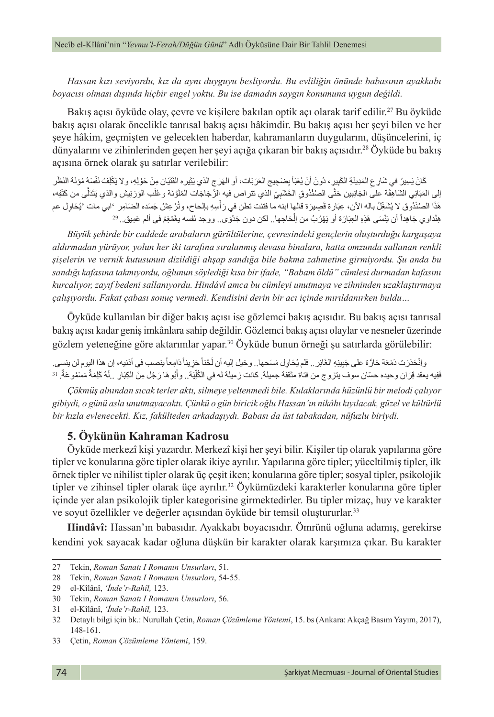*Hassan kızı seviyordu, kız da aynı duyguyu besliyordu. Bu evliliğin önünde babasının ayakkabı boyacısı olması dışında hiçbir engel yoktu. Bu ise damadın saygın konumuna uygun değildi.*

Bakıs açısı öyküde olay, çevre ve kişilere bakılan optik açı olarak tarif edilir.<sup>27</sup> Bu öyküde bakış açısı olarak öncelikle tanrısal bakış açısı hâkimdir. Bu bakış açısı her şeyi bilen ve her şeye hâkim, geçmişten ve gelecekten haberdar, kahramanların duygularını, düşüncelerini, iç dünyalarını ve zihinlerinden geçen her şeyi açığa çıkaran bir bakış açısıdır.<sup>28</sup> Öyküde bu bakış açısına örnek olarak şu satırlar verilebilir:

َ ْكِل ُف نَ ْف َسهُ ُ مؤنَة النَ َظر َ ِ ان م ْن َ حْوِل ِه، وال ي َتَي ِيره الف َث ات، أو الهْرج الذي ي َ َ َ َرب ِ َض ِجيج الع َأ ب ُ ْعب ِ ِير، دُ َون ْ أن ي ِ َ المِدينَ ِة َ الكب َ ِس ُير َ في ش ِارع َك َ ان ي إلى المَبَانِي الشَاهِقَة على الجَانِبين حَتَّى الصُنْدُوقِ الخَشَبِيِّ الذي تتراص فيه إلزُ جَاجَات المُلَوَّنَة وعُلْب الوَرْنِيش والذي يَتَنَلَّى من كَتْفِه، َل ا<br>ا ∶<br>∶ ا الصُنْدُوق لا يُشَغِّلُ باله الآن، عِبَارة قَصِيرَة قالها ابنه ما فتئت نطن في رَ اسِهِ بالحاح، وتُرْ عِشُ جَسَده الصَامِر 'ابي مات 'يُحَاوِل عم :<br>ا ْهَذا الصُنْذُوق لا يُشْغِّلَ باله الان، عِبَار ة قصِيرَة قالها ابنه ما فتَنت تطن في رَ اسِهِ بـالحاح، وترْ عِش<br>هِنْداوي جَاهِداً أن يَنْسَى هَذِهِ العِبَارَة أو يَهْرُبُ من اِلْحَاجِها.. لكن دون جَدُوَى.. ووجد نَفسه يغَمْ

*Büyük şehirde bir caddede arabaların gürültülerine, çevresindeki gençlerin oluşturduğu kargaşaya aldırmadan yürüyor, yolun her iki tarafına sıralanmış devasa binalara, hatta omzunda sallanan renkli şişelerin ve vernik kutusunun dizildiği ahşap sandığa bile bakma zahmetine girmiyordu. Şu anda bu sandığı kafasına takmıyordu, oğlunun söylediği kısa bir ifade, "Babam öldü" cümlesi durmadan kafasını kurcalıyor, zayıf bedeni sallanıyordu. Hindâvî amca bu cümleyi unutmaya ve zihninden uzaklaştırmaya çalışıyordu. Fakat çabası sonuç vermedi. Kendisini derin bir acı içinde mırıldanırken buldu…*

Öyküde kullanılan bir diğer bakış açısı ise gözlemci bakış açısıdır. Bu bakış açısı tanrısal bakış açısı kadar geniş imkânlara sahip değildir. Gözlemci bakış açısı olaylar ve nesneler üzerinde gözlem yeteneğine göre aktarımlar yapar.30 Öyküde bunun örneği şu satırlarda görülebilir:

وانْحَدَرَت دَمْعَة حَارَة على جَبِينِهِ الغَائِر .. فلم يُحَاوِل مَسَحها . وخيل إليه أن لَحْناً حَزِيناً دَامِعاً ينصب في أننيه، إن هذا اليوم لن ينسي. ًفَيه يعقد قِرَان وحيده حسّان سوف يتزوج من فناة مثقفة جميلة. كانت زميلة له في الكُلِّيَة . وأَبُوهَا رَجُل مِنَ الكِبَارِ .لَهُ كَلِمَةٌ مَسْمُوعَةٌ. <sup>31</sup> ٌ

*Çökmüş alnından sıcak terler aktı, silmeye yeltenmedi bile. Kulaklarında hüzünlü bir melodi çalıyor gibiydi, o günü asla unutmayacaktı. Çünkü o gün biricik oğlu Hassan'ın nikâhı kıyılacak, güzel ve kültürlü bir kızla evlenecekti. Kız, fakülteden arkadaşıydı. Babası da üst tabakadan, nüfuzlu biriydi.*

#### **5. Öykünün Kahraman Kadrosu**

Öyküde merkezî kişi yazardır. Merkezî kişi her şeyi bilir. Kişiler tip olarak yapılarına göre tipler ve konularına göre tipler olarak ikiye ayrılır. Yapılarına göre tipler; yüceltilmiş tipler, ilk örnek tipler ve nihilist tipler olarak üç çeşit iken; konularına göre tipler; sosyal tipler, psikolojik tipler ve zihinsel tipler olarak üçe ayrılır.<sup>32</sup> Öykümüzdeki karakterler konularına göre tipler içinde yer alan psikolojik tipler kategorisine girmektedirler. Bu tipler mizaç, huy ve karakter ve soyut özellikler ve değerler açısından öyküde bir temsil oluştururlar. 33

**Hindâvî:** Hassan'ın babasıdır. Ayakkabı boyacısıdır. Ömrünü oğluna adamış, gerekirse kendini yok sayacak kadar oğluna düşkün bir karakter olarak karşımıza çıkar. Bu karakter

<sup>27</sup> Tekin, *Roman Sanatı I Romanın Unsurları*, 51.

<sup>28</sup> Tekin, *Roman Sanatı I Romanın Unsurları*, 54-55.

<sup>29</sup> el-Kîlânî, *'İnde'r-Rahîl,* 123.

<sup>30</sup> Tekin, *Roman Sanatı I Romanın Unsurları*, 56.

<sup>31</sup> el-Kîlânî, *'İnde'r-Rahîl,* 123.

<sup>32</sup> Detaylı bilgi için bk.: Nurullah Çetin, *Roman Çözümleme Yöntemi*, 15. bs (Ankara: Akçağ Basım Yayım, 2017), 148-161.

<sup>33</sup> Çetin, *Roman Çözümleme Yöntemi*, 159.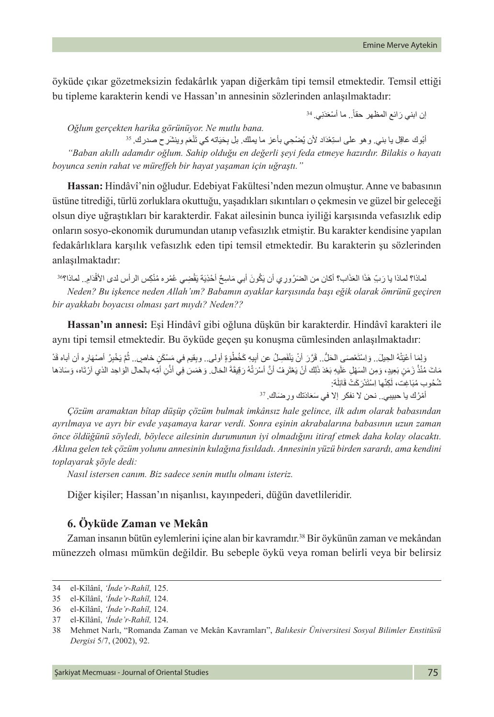öyküde çıkar gözetmeksizin fedakârlık yapan diğerkâm tipi temsil etmektedir. Temsil ettiği bu tipleme karakterin kendi ve Hassan'ın annesinin sözlerinden anlaşılmaktadır:

إن ابني رَائع المظهر حقاً.. ما أسْعَدَنِي. <sup>34</sup>

*Oğlum gerçekten harika görünüyor. Ne mutlu bana.*

أُبُوك عاقِل يا بني<sub>.</sub> و هو على استِعْدَاد لأن يُضنْحِي بأعز ما يملُك. بل بِحَيَاته كي تَنْعَم وينشَر ح صدرك. <sup>35</sup> *"Baban akıllı adamdır oğlum. Sahip olduğu en değerli şeyi feda etmeye hazırdır. Bilakis o hayatı boyunca senin rahat ve müreffeh bir hayat yaşaman için uğraştı."*

**Hassan:** Hindâvî'nin oğludur. Edebiyat Fakültesi'nden mezun olmuştur. Anne ve babasının üstüne titrediği, türlü zorluklara okuttuğu, yaşadıkları sıkıntıları o çekmesin ve güzel bir geleceği olsun diye uğraştıkları bir karakterdir. Fakat ailesinin bunca iyiliği karşısında vefasızlık edip onların sosyo-ekonomik durumundan utanıp vefasızlık etmiştir. Bu karakter kendisine yapılan fedakârlıklara karşılık vefasızlık eden tipi temsil etmektedir. Bu karakterin şu sözlerinden anlaşılmaktadır:

لماذا؟ لماذا يا رَبّ هَذَا العَذَاب؟ أكان من الضَرُورِي أن يَكُونَ أبي مَاسِحٌ أَحْذِيَة يَقْضِي عُمْره مُنْكِس الرأس لدى الأقْدَامِ.. لماذا؟؟<sup>36</sup> :<br>:<br>: *Neden? Bu işkence neden Allah'ım? Babamın ayaklar karşısında başı eğik olarak ömrünü geçiren bir ayakkabı boyacısı olması şart mıydı? Neden??*

**Hassan'ın annesi:** Eşi Hindâvî gibi oğluna düşkün bir karakterdir. Hindâvî karakteri ile aynı tipi temsil etmektedir. Bu öyküde geçen şu konuşma cümlesinden anlaşılmaktadır:

وَلِمَا أعْيَتْهُ الحِيلَ.. وَاسْتَعْصَى الْحَلُّ.. قَرَّرَ أَنْ يَنْفَصِلُ عن أبِيهِ كَخُطْوَةٍ أولى.. وبِقيم في مَسْكَنٍ خاصٍ.. ثُمَّ يَخْبِرُ أصنهاره أن أباه قَدْ المعالم المعالم المعالم المعالم المعالم المعالم المعالم المعالم المعالم المعالم المعالم المعالم المعالم المعال<br>المعالم المعالم المعالم المعالم المعالم المعالم المعالم المعالم المعالم المعالم المعالم المعالم المعالم المعال مَاتَ مُنْذُ زَمَنٍ بَعِيدٍ، وَمِن السَهْلِ عَلَيهِ بَعْدَ ذَلِك أنْ يَغْتَرِفُ أنَّ أَسْرَتُهُ رَقِيقَةَ الحَال وَهَمَسَ فِي أَنْنِ أُمِّه بالحال الوَاحِد الذي أرْتَاه، وَسَادَها ؘ<br>ا َشُحُوب مُبَاغِت، لَكِنّها اِسْتَدْرَكَتْ قَائِلَة:  $\overline{a}$ 

أَمْرُكَ يا حبيبي.<sub>.</sub> نحن لا نفكر إلا في سَعَادَتك ورِ ضَاكَ. <sup>37</sup>

*Çözüm aramaktan bîtap düşüp çözüm bulmak imkânsız hale gelince, ilk adım olarak babasından ayrılmaya ve ayrı bir evde yaşamaya karar verdi. Sonra eşinin akrabalarına babasının uzun zaman önce öldüğünü söyledi, böylece ailesinin durumunun iyi olmadığını itiraf etmek daha kolay olacaktı. Aklına gelen tek çözüm yolunu annesinin kulağına fısıldadı. Annesinin yüzü birden sarardı, ama kendini toplayarak şöyle dedi:*

*Nasıl istersen canım. Biz sadece senin mutlu olmanı isteriz.*

Diğer kişiler; Hassan'ın nişanlısı, kayınpederi, düğün davetlileridir.

### **6. Öyküde Zaman ve Mekân**

Zaman insanın bütün eylemlerini içine alan bir kavramdır.<sup>38</sup> Bir öykünün zaman ve mekândan münezzeh olması mümkün değildir. Bu sebeple öykü veya roman belirli veya bir belirsiz

<sup>34</sup> el-Kîlânî, *'İnde'r-Rahîl,* 125.

<sup>35</sup> el-Kîlânî, *'İnde'r-Rahîl,* 124.

<sup>36</sup> el-Kîlânî, *'İnde'r-Rahîl,* 124.

<sup>37</sup> el-Kîlânî, *'İnde'r-Rahîl,* 124.

<sup>38</sup> Mehmet Narlı, "Romanda Zaman ve Mekân Kavramları", *Balıkesir Üniversitesi Sosyal Bilimler Enstitüsü Dergisi* 5/7, (2002), 92.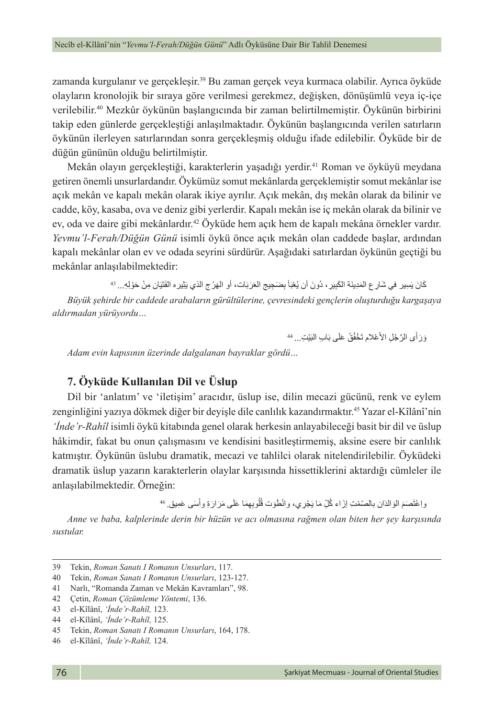zamanda kurgulanır ve gerçekleşir.39 Bu zaman gerçek veya kurmaca olabilir. Ayrıca öyküde olayların kronolojik bir sıraya göre verilmesi gerekmez, değişken, dönüşümlü veya iç-içe verilebilir.40 Mezkûr öykünün başlangıcında bir zaman belirtilmemiştir. Öykünün birbirini takip eden günlerde gerçekleştiği anlaşılmaktadır. Öykünün başlangıcında verilen satırların öykünün ilerleyen satırlarından sonra gerçekleşmiş olduğu ifade edilebilir. Öyküde bir de düğün gününün olduğu belirtilmiştir.

Mekân olayın gerçekleştiği, karakterlerin yaşadığı yerdir.<sup>41</sup> Roman ve öyküyü meydana getiren önemli unsurlardandır. Öykümüz somut mekânlarda gerçeklemiştir somut mekânlar ise açık mekân ve kapalı mekân olarak ikiye ayrılır. Açık mekân, dış mekân olarak da bilinir ve cadde, köy, kasaba, ova ve deniz gibi yerlerdir. Kapalı mekân ise iç mekân olarak da bilinir ve ev, oda ve daire gibi mekânlardır.<sup>42</sup> Öyküde hem açık hem de kapalı mekâna örnekler vardır. *Yevmu'l-Ferah/Düğün Günü* isimli öykü önce açık mekân olan caddede başlar, ardından kapalı mekânlar olan ev ve odada seyrini sürdürür. Aşağıdaki satırlardan öykünün geçtiği bu mekânlar anlaşılabilmektedir:

كَانَ يَسِير في شَارِ ع الْمَدِينَة الْكَبِيرِ ، دُونَ أن يُعْبَأ بِصَحِيج الْعَرَ بَات، أو الْهَرْ ج الذي يَثِير ه الْفَتَيَان مِنْ حَوْلِهِ... <sup>43</sup> *Büyük şehirde bir caddede arabaların gürültülerine, çevresindeki gençlerin oluşturduğu kargaşaya aldırmadan yürüyordu…*

> وَرَ أَى الرَّجُلِ الأَعْلامِ تَخْفُقُ عَلَى بَابِ النَيْتِ... <sup>44</sup> ֖֖֖֖ׅ֧֪֪֪֪ׅ֧֪֪֪ׅ֪֪֪֪֪֪֪֪֪֪֪֪֪֪֪֪֪֪֪֪֪֪֪ׅ֚֚֚֚֚֚֚֚֚֚֚֚֚֚֚֚֚֚֚֝֡֘֩֓֡֓֞֟֓֡֞֟֓֡֡֓֞֡֡֓֞֟֓֡֡֡֓֞֓֞֓֞֬

*Adam evin kapısının üzerinde dalgalanan bayraklar gördü…*

### **7. Öyküde Kullanılan Dil ve Üslup**

Dil bir 'anlatım' ve 'iletişim' aracıdır, üslup ise, dilin mecazi gücünü, renk ve eylem zenginliğini yazıya dökmek diğer bir deyişle dile canlılık kazandırmaktır.45 Yazar el-Kîlânî'nin *'İnde'r-Rahîl* isimli öykü kitabında genel olarak herkesin anlayabileceği basit bir dil ve üslup hâkimdir, fakat bu onun çalışmasını ve kendisini basitleştirmemiş, aksine esere bir canlılık katmıştır. Öykünün üslubu dramatik, mecazi ve tahlilci olarak nitelendirilebilir. Öyküdeki dramatik üslup yazarın karakterlerin olaylar karşısında hissettiklerini aktardığı cümleler ile anlaşılabilmektedir. Örneğin:

> واِعْتَصَمَ الْوَالْدَان بِالْصُمْتِ إِزَاء كُلِّ مَا يَجْرِي، وانْطَوَت قُلُوبِهِمَا عَلَى مَرَارَةِ وأَسَى عَمِيق. 46 َُل

*Anne ve baba, kalplerinde derin bir hüzün ve acı olmasına rağmen olan biten her şey karşısında sustular.*

<sup>39</sup> Tekin, *Roman Sanatı I Romanın Unsurları*, 117.

<sup>40</sup> Tekin, *Roman Sanatı I Romanın Unsurları*, 123-127.

<sup>41</sup> Narlı, "Romanda Zaman ve Mekân Kavramları", 98.

<sup>42</sup> Çetin, *Roman Çözümleme Yöntemi*, 136.

<sup>43</sup> el-Kîlânî, *'İnde'r-Rahîl,* 123.

<sup>44</sup> el-Kîlânî, *'İnde'r-Rahîl,* 125.

<sup>45</sup> Tekin, *Roman Sanatı I Romanın Unsurları*, 164, 178.

<sup>46</sup> el-Kîlânî, *'İnde'r-Rahîl,* 124.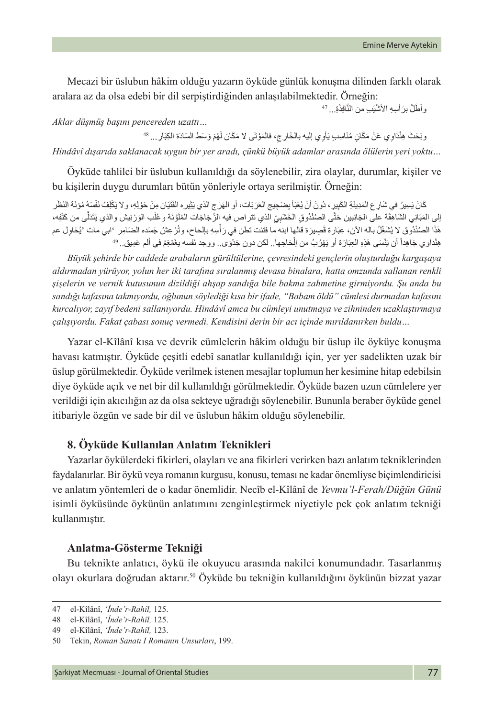Mecazi bir üslubun hâkim olduğu yazarın öyküde günlük konuşma dilinden farklı olarak aralara az da olsa edebi bir dil serpiştirdiğinden anlaşılabilmektedir. Örneğin:

واَطْلٌ برَ أُسِهِ الأَشْيَبِ من النَّافِذَةِ... <sup>47</sup>

#### *Aklar düşmüş başını pencereden uzattı…*

وبَحَثَ هِنْدَاوِي عَنْ مَكَانٍ مُنَاسِبٍ يَأْوِي إليه بالْخَارِ جِ، فالْمَوْتَى لا مَكَان لْهُمْ وَسَطَ السَادَة الْكِبَارِ ... <sup>48</sup> َ

*Hindâvî dışarıda saklanacak uygun bir yer aradı, çünkü büyük adamlar arasında ölülerin yeri yoktu…*

Öyküde tahlilci bir üslubun kullanıldığı da söylenebilir, zira olaylar, durumlar, kişiler ve bu kişilerin duygu durumları bütün yönleriyle ortaya serilmiştir. Örneğin:

كَانَ يَسِيرُ في شَارِ عِ المَدِينَةِ الكَبِيرِ ، دُونَ أنْ يُعْبَأ بِصَبَحِيجِ العَرَبَات، أو الهَرْ ج الذي يَثِير ه الفَتَيَان مِنْ حَوْلِهِ، و لا يَكْلِفُ نَفْسَهُ مُوْنَة النَظْرِ إلى المَبَانِي الشَاهِقَة على الجَانِبين حَتَّى الصُنْدُوقِ الخَشَبِيِّ الذي تتر اص فيه الزُجَاجَات المُلَوَّنَة وعُلْب الوَرْنِيش والذي يَتَنَلَّى من كَتْفِه، َل ا<br>ا ∶<br>∶ ا الصُنْدُوق لا يُشَغِّلُ باله الآن، عِبَارة قَصِيرَة قالها ابنه ما فتئت تطن في رَ اسِهِ بالحاح، وتُرْ عِشُ جَسَده الضَامِر 'ابي مات 'يُحَاوِل عم :<br>ا ْهَذا الصُنْذُوق لا يُشْغِّلُ باله الان، عِبَار ة قصِيرَة قالها ابنه ما فتئت تطن في رَ اسِهِ بـالحاح، وتَرْ عِش<br>هِنْداو ي جَاهِداً أن يَنْسَى هَذِهِ العِبَارَة أو يَهْرُبُ من اِلْحَاجِها.. لكن دون جَدُوَى.. ووجد نَفسه يغَم

*Büyük şehirde bir caddede arabaların gürültülerine, çevresindeki gençlerin oluşturduğu kargaşaya aldırmadan yürüyor, yolun her iki tarafına sıralanmış devasa binalara, hatta omzunda sallanan renkli şişelerin ve vernik kutusunun dizildiği ahşap sandığa bile bakma zahmetine girmiyordu. Şu anda bu sandığı kafasına takmıyordu, oğlunun söylediği kısa bir ifade, "Babam öldü" cümlesi durmadan kafasını kurcalıyor, zayıf bedeni sallanıyordu. Hindâvî amca bu cümleyi unutmaya ve zihninden uzaklaştırmaya çalışıyordu. Fakat çabası sonuç vermedi. Kendisini derin bir acı içinde mırıldanırken buldu…*

Yazar el-Kîlânî kısa ve devrik cümlelerin hâkim olduğu bir üslup ile öyküye konuşma havası katmıştır. Öyküde çeşitli edebî sanatlar kullanıldığı için, yer yer sadelikten uzak bir üslup görülmektedir. Öyküde verilmek istenen mesajlar toplumun her kesimine hitap edebilsin diye öyküde açık ve net bir dil kullanıldığı görülmektedir. Öyküde bazen uzun cümlelere yer verildiği için akıcılığın az da olsa sekteye uğradığı söylenebilir. Bununla beraber öyküde genel itibariyle özgün ve sade bir dil ve üslubun hâkim olduğu söylenebilir.

### **8. Öyküde Kullanılan Anlatım Teknikleri**

Yazarlar öykülerdeki fikirleri, olayları ve ana fikirleri verirken bazı anlatım tekniklerinden faydalanırlar. Bir öykü veya romanın kurgusu, konusu, teması ne kadar önemliyse biçimlendiricisi ve anlatım yöntemleri de o kadar önemlidir. Necîb el-Kîlânî de *Yevmu'l-Ferah/Düğün Günü* isimli öyküsünde öykünün anlatımını zenginleştirmek niyetiyle pek çok anlatım tekniği kullanmıştır.

#### **Anlatma-Gösterme Tekniği**

Bu teknikte anlatıcı, öykü ile okuyucu arasında nakilci konumundadır. Tasarlanmış olayı okurlara doğrudan aktarır.<sup>50</sup> Öyküde bu tekniğin kullanıldığını öykünün bizzat yazar

<sup>47</sup> el-Kîlânî, *'İnde'r-Rahîl,* 125.

<sup>48</sup> el-Kîlânî, *'İnde'r-Rahîl,* 125.

<sup>49</sup> el-Kîlânî, *'İnde'r-Rahîl,* 123.

<sup>50</sup> Tekin, *Roman Sanatı I Romanın Unsurları*, 199.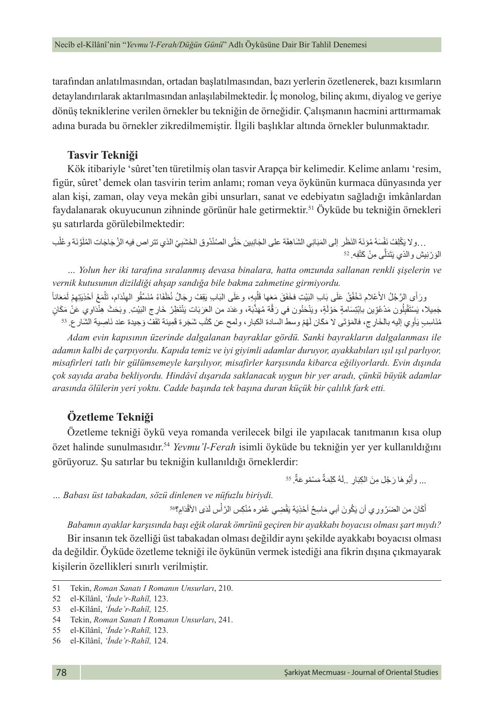tarafından anlatılmasından, ortadan başlatılmasından, bazı yerlerin özetlenerek, bazı kısımların detaylandırılarak aktarılmasından anlaşılabilmektedir. İç monolog, bilinç akımı, diyalog ve geriye dönüş tekniklerine verilen örnekler bu tekniğin de örneğidir. Çalışmanın hacmini arttırmamak adına burada bu örnekler zikredilmemiştir. İlgili başlıklar altında örnekler bulunmaktadır.

### **Tasvir Tekniği**

Kök itibariyle 'sûret'ten türetilmiş olan tasvir Arapça bir kelimedir. Kelime anlamı 'resim, figür, sûret' demek olan tasvirin terim anlamı; roman veya öykünün kurmaca dünyasında yer alan kişi, zaman, olay veya mekân gibi unsurları, sanat ve edebiyatın sağladığı imkânlardan faydalanarak okuyucunun zihninde görünür hale getirmektir.<sup>51</sup> Öyküde bu tekniğin örnekleri şu satırlarda görülebilmektedir:

. . ولا يَكْلِفُ نَفْسَهُ مُؤنَة النَظَر إلى المَبَانِي الشَاهِقَة على الجَانِبين حَتَّى الصُنْدُوق الخَشَبِيّ الذي تتر اص فيه الزُجَاجَات المُلَوَّنَة وعُلْب الوَرْنِيش والذي يَتَدَلَّى مِنْ كَتْفِه. <sup>52</sup> ََّل **ٔ** 

*… Yolun her iki tarafına sıralanmış devasa binalara, hatta omzunda sallanan renkli şişelerin ve vernik kutusunun dizildiği ahşap sandığa bile bakma zahmetine girmiyordu.*

ورَأَى الرَّجُلُ الأَعْلام تَخْفُقُ عَلَى بَابِ النَيْتِ فخَفَقَ مَعَها قَلْبِهِ، وعَلَى البَابِ يَقِفُ رِجَالُ نُظَفَاءُ مُنَسَّقُو المِنْدَام، تَلْمَعُ أخذِيتِهِمْ لَمَعَاناً ٔ<br>ا **ٔ** المعالم المعالم المعالم المعالم المعالم المعالم المعالم المعالم المعالم المعالم المعالم المعالم المعالم المعال<br>المعالم المعالم المعالم المعالم المعالم المعالم المعالم المعالم المعالم المعالم المعالم المعالم المعالم المعال َل سْتَقْلِلُون مَدْعُوِّين باِبْتِسَامةٍ حَوْلَةٍ، ويَنْخُلُون في رَقَّة مُهَذَّبَة، وعَدَد من العَرَبَات بَنْتَظِرُ خَارِج البَيْتِ. وبَحَثَ هِنْدَاوِي عَنْ مَكَانٍ ֺ<u>֓</u> ُ $\overline{1}$ جَمِيلا، يَسْتَقَلِّون مَدْعُوّين بِابْتِسَامةٍ حَوْلَةٍ، ويَنْخَنُون في رَقَة مُهَدْبَة، وعَدَد من العَرَبَات يَنْتَظِرُ خَارِج النَّبِيَّبِ وبَحَثْ هِنْدَاوِي عَنْ مَدَ<br>مُنَاسِبِ يَأوِي إليه بالخَارِجِ، فالمَوْتَى لا مَ َ

*Adam evin kapısının üzerinde dalgalanan bayraklar gördü. Sanki bayrakların dalgalanması ile adamın kalbi de çarpıyordu. Kapıda temiz ve iyi giyimli adamlar duruyor, ayakkabıları ışıl ışıl parlıyor, misafirleri tatlı bir gülümsemeyle karşılıyor, misafirler karşısında kibarca eğiliyorlardı. Evin dışında çok sayıda araba bekliyordu. Hindâvî dışarıda saklanacak uygun bir yer aradı, çünkü büyük adamlar arasında ölülerin yeri yoktu. Cadde başında tek başına duran küçük bir çalılık fark etti.*

### **Özetleme Tekniği**

Özetleme tekniği öykü veya romanda verilecek bilgi ile yapılacak tanıtmanın kısa olup özet halinde sunulmasıdır.54 *Yevmu'l-Ferah* isimli öyküde bu tekniğin yer yer kullanıldığını görüyoruz. Şu satırlar bu tekniğin kullanıldığı örneklerdir:

> ... وأَبُوهَا رَجُلُ مِنَ الْكِبَارِ . ِلَهُ كَلِمَةٌ مَسْمُوعَةٌ. <sup>55</sup> ٌ

*… Babası üst tabakadan, sözü dinlenen ve nüfuzlu biriydi.*

أَكَانَ من الضَرُورِي أن يَكُونَ أبي مَاسِحٌ أَحْذِيَة يَقْضِي عُمْره مُنْكِس الرَّأْس لَدَى الأَقْدَامِ؟<sup>56</sup> **اللہ میں** ا

*Babamın ayaklar karşısında başı eğik olarak ömrünü geçiren bir ayakkabı boyacısı olması şart mıydı?* Bir insanın tek özelliği üst tabakadan olması değildir aynı şekilde ayakkabı boyacısı olması da değildir. Öyküde özetleme tekniği ile öykünün vermek istediği ana fikrin dışına çıkmayarak kişilerin özellikleri sınırlı verilmiştir.

<sup>51</sup> Tekin, *Roman Sanatı I Romanın Unsurları*, 210.

<sup>52</sup> el-Kîlânî, *'İnde'r-Rahîl,* 123.

<sup>53</sup> el-Kîlânî, *'İnde'r-Rahîl,* 125.

<sup>54</sup> Tekin, *Roman Sanatı I Romanın Unsurları*, 241.

<sup>55</sup> el-Kîlânî, *'İnde'r-Rahîl,* 123.

<sup>56</sup> el-Kîlânî, *'İnde'r-Rahîl,* 124.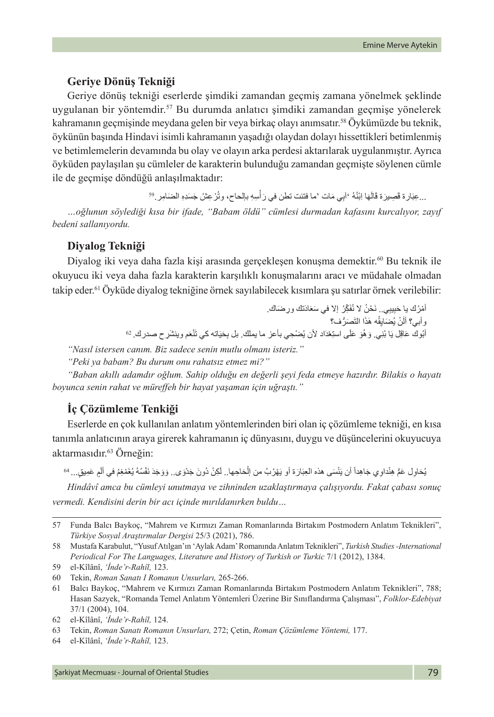#### **Geriye Dönüş Tekniği**

Geriye dönüş tekniği eserlerde şimdiki zamandan geçmiş zamana yönelmek şeklinde uygulanan bir yöntemdir.57 Bu durumda anlatıcı şimdiki zamandan geçmişe yönelerek kahramanın geçmişinde meydana gelen bir veya birkaç olayı anımsatır.58 Öykümüzde bu teknik, öykünün başında Hindavi isimli kahramanın yaşadığı olaydan dolayı hissettikleri betimlenmiş ve betimlemelerin devamında bu olay ve olayın arka perdesi aktarılarak uygulanmıştır. Ayrıca öyküden paylaşılan şu cümleler de karakterin bulunduğu zamandan geçmişte söylenen cümle ile de geçmişe döndüğü anlaşılmaktadır:

> ...عِبَار ة قَصِيرَة قَالَهَا لِبْنُهُ 'أَبِي مَات 'ما فتئت تطن في رَ أسِهِ بالحاح، وتُرْ عِثْنُ جَسَدِهِ الضَامِر .<sup>59</sup> **ٔ ٔ**

*…oğlunun söylediği kısa bir ifade, "Babam öldü" cümlesi durmadan kafasını kurcalıyor, zayıf bedeni sallanıyordu.*

#### **Diyalog Tekniği**

Diyalog iki veya daha fazla kişi arasında gerçekleşen konuşma demektir.<sup>60</sup> Bu teknik ile okuyucu iki veya daha fazla karakterin karşılıklı konuşmalarını aracı ve müdahale olmadan takip eder.<sup>61</sup> Öyküde diyalog tekniğine örnek sayılabilecek kısımlara şu satırlar örnek verilebilir:

> أَمْرُكَ يا حَبِيبِي.. نَحْنُ لا نُفَكِّرُ ۖ إلا في سَعَادَتكَ ورِ صَناكَ. نْ يُضَايِقُه هَذَا النَّصَرُّف؟ وابي؟ الَنْ يُضَانِقِه هَذَا النَّصَرَّف؟<br>أَبُوك عَاقِل يَا بُنِي<sub>.</sub> وَ هُوَ عَلَى استِعْدَاد لأن يُضْحِي بأعز ما يملك. بل بِحَيَاته كي تَنْعَم وينشَر ح صدرك. <sup>62</sup>

*"Nasıl istersen canım. Biz sadece senin mutlu olmanı isteriz."*

*"Peki ya babam? Bu durum onu rahatsız etmez mi?"*

*"Baban akıllı adamdır oğlum. Sahip olduğu en değerli şeyi feda etmeye hazırdır. Bilakis o hayatı boyunca senin rahat ve müreffeh bir hayat yaşaman için uğraştı."*

### **İç Çözümleme Tenkiği**

Eserlerde en çok kullanılan anlatım yöntemlerinden biri olan iç çözümleme tekniği, en kısa tanımla anlatıcının araya girerek kahramanın iç dünyasını, duygu ve düşüncelerini okuyucuya aktarmasıdır.<sup>63</sup> Örneğin:

يُحَاوِل عَمُّ هِنْداوِي جَاهِداً أن يَنْسَى هذه العِبَارَة أو يَهْرُبُ من الْحَاجِها.. لَكِنْ دُونَ جَدْوَى.. وَوَجَدَ نَفْسُهُ يُغَمْغِمُ في ألْمٍ عَمِيقٍ... <sup>64</sup> َ **ٔ** 

*Hindâvî amca bu cümleyi unutmaya ve zihninden uzaklaştırmaya çalışıyordu. Fakat çabası sonuç vermedi. Kendisini derin bir acı içinde mırıldanırken buldu…*

<sup>57</sup> Funda Balcı Baykoç, "Mahrem ve Kırmızı Zaman Romanlarında Birtakım Postmodern Anlatım Teknikleri", *Türkiye Sosyal Araştırmalar Dergisi* 25/3 (2021), 786.

<sup>58</sup> Mustafa Karabulut, "Yusuf Atılgan'ın 'Aylak Adam' Romanında Anlatım Teknikleri", *Turkish Studies -International Periodical For The Languages, Literature and History of Turkish or Turkic* 7/1 (2012), 1384.

<sup>59</sup> el-Kîlânî, *'İnde'r-Rahîl,* 123.

<sup>60</sup> Tekin, *Roman Sanatı I Romanın Unsurları,* 265-266.

<sup>61</sup> Balcı Baykoç, "Mahrem ve Kırmızı Zaman Romanlarında Birtakım Postmodern Anlatım Teknikleri", 788; Hasan Sazyek, "Romanda Temel Anlatım Yöntemleri Üzerine Bir Sınıflandırma Çalışması", *Folklor-Edebiyat* 37/1 (2004), 104.

<sup>62</sup> el-Kîlânî, *'İnde'r-Rahîl,* 124.

<sup>63</sup> Tekin, *Roman Sanatı Romanın Unsurları,* 272; Çetin, *Roman Çözümleme Yöntemi,* 177.

<sup>64</sup> el-Kîlânî, *'İnde'r-Rahîl,* 123.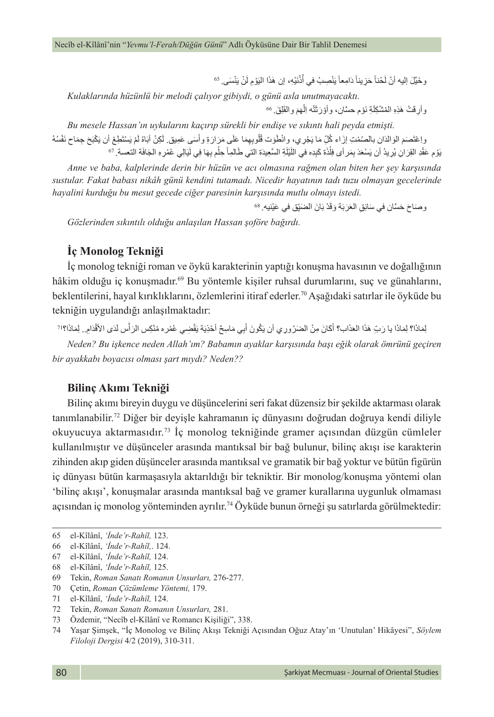وخَيَّلَ إليه أنّ لَحْناً حَزِيناً دَامِعاً يَنْصِبُ في أَذْنَيْهِ، إن هَذَا الْيَوْمِ لَنْ يَنْسَى ِ <sup>65</sup> ً

*Kulaklarında hüzünlü bir melodi çalıyor gibiydi, o günü asla unutmayacaktı.*

وأرِقَتْ هَذِهِ المُشْكِلَةِ نَوْم حسَّان، وأَوْرَثَتْه الْمَهَم والْقَلِقَ. 66 ؚ<br>ׇ֚֚֡֬

*Bu mesele Hassan'ın uykularını kaçırıp sürekli bir endişe ve sıkıntı hali peyda etmişti.* واعْتَصَمَ الوَالدَان بالصُمْتِ إزَاء كُلِّ مَا يَجْرِي، وانْطَوَت قُلُوبِهِمَا عَلَى مَرَارَةِ وأَسَى عَمِيق لَكِنْ أبَاهُ لَمْ يَسْتَطِعْ أن يَكْبَحَ جِمَاح نَفْسُهُ َؘ<br>ا َ<u>أ</u> يَوْ م عَقْدِ القِرَانِ يُرِيدُ أن يَسْعَدَ بِمَر أى فِلْذَة كَبِدِه في اللَّيْلَةِ السَّعِيدَة التي طَالمِاً حِلْم بِهَا فِي لَيَالِي عُمْرِهِ الْجَافَة التعسة. 67 ِل

*Anne ve baba, kalplerinde derin bir hüzün ve acı olmasına rağmen olan biten her şey karşısında sustular. Fakat babası nikâh günü kendini tutamadı. Nicedir hayatının tadı tuzu olmayan gecelerinde hayalini kurduğu bu mesut gecede ciğer paresinin karşısında mutlu olmayı istedi.*

وصَناحَ حَسَّان في سَائِقِ الْعَرَبَةَ وَقَدْ بَانَ الْصَبِّقِ في عَيْنيه. <sup>68</sup>

*Gözlerinden sıkıntılı olduğu anlaşılan Hassan şoföre bağırdı.*

### **İç Monolog Tekniği**

İç monolog tekniği roman ve öykü karakterinin yaptığı konuşma havasının ve doğallığının hâkim olduğu iç konuşmadır.<sup>69</sup> Bu yöntemle kişiler ruhsal durumlarını, suç ve günahlarını, beklentilerini, hayal kırıklıklarını, özlemlerini itiraf ederler.70 Aşağıdaki satırlar ile öyküde bu tekniğin uygulandığı anlaşılmaktadır:

لِمَاذَا؟ لِمَاذَا يا رَبِّ هَذَا العَذَاب؟ أَكَانَ مِنْ الضَرُورِ ي أن يَكُونَ أَبِي مَاسِحٌ أَحْذِيَة يَقْضِي عُمْره مُنْكِس الرّأْس لَدَى الأَقْدَامِ.. لِمَاذَا؟!? **ٔ** َ

*Neden? Bu işkence neden Allah'ım? Babamın ayaklar karşısında başı eğik olarak ömrünü geçiren bir ayakkabı boyacısı olması şart mıydı? Neden??*

#### **Bilinç Akımı Tekniği**

Bilinç akımı bireyin duygu ve düşüncelerini seri fakat düzensiz bir şekilde aktarması olarak tanımlanabilir.72 Diğer bir deyişle kahramanın iç dünyasını doğrudan doğruya kendi diliyle okuyucuya aktarmasıdır.73 İç monolog tekniğinde gramer açısından düzgün cümleler kullanılmıştır ve düşünceler arasında mantıksal bir bağ bulunur, bilinç akışı ise karakterin zihinden akıp giden düşünceler arasında mantıksal ve gramatik bir bağ yoktur ve bütün figürün iç dünyası bütün karmaşasıyla aktarıldığı bir tekniktir. Bir monolog/konuşma yöntemi olan 'bilinç akışı', konuşmalar arasında mantıksal bağ ve gramer kurallarına uygunluk olmaması açısından iç monolog yönteminden ayrılır.74 Öyküde bunun örneği şu satırlarda görülmektedir:

- 69 Tekin, *Roman Sanatı Romanın Unsurları,* 276-277.
- 70 Çetin, *Roman Çözümleme Yöntemi,* 179.
- 71 el-Kîlânî, *'İnde'r-Rahîl,* 124.
- 72 Tekin, *Roman Sanatı Romanın Unsurları,* 281.
- 73 Özdemir, "Necîb el-Kîlânî ve Romancı Kişiliği", 338.

<sup>65</sup> el-Kîlânî, *'İnde'r-Rahîl,* 123.

<sup>66</sup> el-Kîlânî, *'İnde'r-Rahîl,*. 124.

<sup>67</sup> el-Kîlânî, *'İnde'r-Rahîl,* 124.

<sup>68</sup> el-Kîlânî, *'İnde'r-Rahîl,* 125.

<sup>74</sup> Yaşar Şimşek, "İç Monolog ve Bilinç Akışı Tekniği Açısından Oğuz Atay'ın 'Unutulan' Hikâyesi", *Söylem Filoloji Dergisi* 4/2 (2019), 310-311.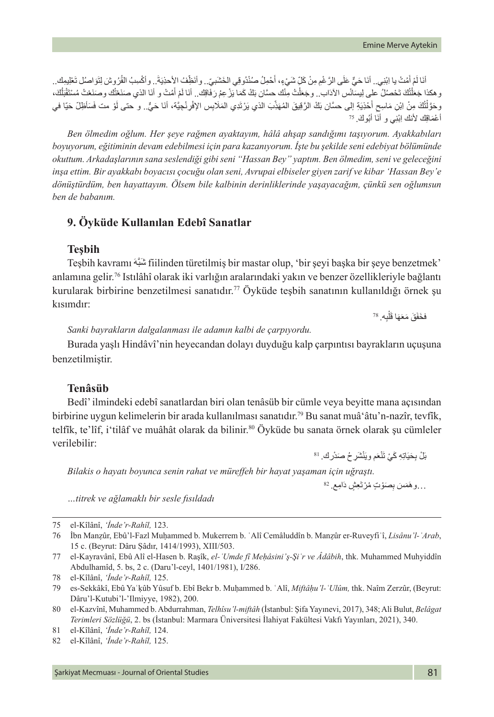أنَا لَمْ أَمُتْ يا اِبْنِي.. أنَا حَيٍّ عَلَى الرَّغْمِ مِنْ كَلِّ شَيْءٍ، أَحْمِلُ صُنْدُوقِي الخَشَبيّ.. وأنَظِّفُ الأَحذِيَةَ . وأَكْسِبُ الْقُرُوشَ لِتَوَاصُلْ تَعْلِيمِكَ.. ؘ<br>ا ؘ<br>ؙ وهكذا جَعَلْتُكَ تَحْصُلُ علِي لِيسَانُس الآدَاب . وجَعَلْتُ مِنْك حسَّان بَكْ كَمَا يَرْعِمُ رَفَاقِك. أنَا لَمْ أَمُتْ و أنَا الذي صَنَعْتُك وصَنَعْتُ مُسْتَقْبَلُكَ، َل اً<br>ا َ ً<br>ا ا<br>ا ا<br>ا تُكَ مِنْ اِبْنِ مَاسِحٍ أَحْذِيَةِ إلى حسَّان بَكْ الرَّقِيقَ المُهَذِّبَ الذي يَرْتَدِي المَلَابِس الإفْرِنْجِيَّة، أنَا حَيٍّ.. و حتى لَوْ مت فَسَأظِلَّ حَيَّا في<br>. ٔ<br>ا ّْ **ٔ** وحَوَّلْنَكَ مِنْ اِبْنِ مَاسِحِ اخْذِيَةِ إِلَ<sub>ّ</sub><br>أعْمَاقِكَ لأنك اِبْنِي و أنَا أبُوكَ. <sup>75</sup>

*Ben ölmedim oğlum. Her şeye rağmen ayaktayım, hâlâ ahşap sandığımı taşıyorum. Ayakkabıları boyuyorum, eğitiminin devam edebilmesi için para kazanıyorum. İşte bu şekilde seni edebiyat bölümünde okuttum. Arkadaşlarının sana seslendiği gibi seni "Hassan Bey" yaptım. Ben ölmedim, seni ve geleceğini inşa ettim. Bir ayakkabı boyacısı çocuğu olan seni, Avrupai elbiseler giyen zarif ve kibar 'Hassan Bey'e dönüştürdüm, ben hayattayım. Ölsem bile kalbinin derinliklerinde yaşayacağım, çünkü sen oğlumsun ben de babanım.*

### **9. Öyküde Kullanılan Edebî Sanatlar**

#### **Teşbih**

Teşbih kavramı َ َّهشبَ fiilinden türetilmiş bir mastar olup, 'bir şeyi başka bir şeye benzetmek' anlamına gelir.76 Istılâhî olarak iki varlığın aralarındaki yakın ve benzer özellikleriyle bağlantı kurularak birbirine benzetilmesi sanatıdır.77 Öyküde teşbih sanatının kullanıldığı örnek şu  $\frac{78}{4}$ .

فخَفَقَ مَعَهَا قَلْدٍ َل

*Sanki bayrakların dalgalanması ile adamın kalbi de çarpıyordu.*

Burada yaşlı Hindâvî'nin heyecandan dolayı duyduğu kalp çarpıntısı bayrakların uçuşuna benzetilmiştir.

### **Tenâsüb**

Bedî' ilmindeki edebî sanatlardan biri olan tenâsüb bir cümle veya beyitte mana açısından birbirine uygun kelimelerin bir arada kullanılması sanatıdır.79 Bu sanat muâ'âtu'n-nazîr, tevfîk, telfîk, te'lîf, i'tilâf ve muâhât olarak da bilinir.<sup>80</sup> Öyküde bu sanata örnek olarak şu cümleler . verilebilir:<br>نْشَرِ حُ صَدُرك. <sup>81</sup> : '' مَسْر <sup>81</sup> : '' مَسْر مُحَدِّر مِنْ الله عَليه الله عند الله عند الله عند الله عند ا

بَلْ بِحَيَاتِهِ كَيْ تَنْعَم و يَ

*Bilakis o hayatı boyunca senin rahat ve müreffeh bir hayat yaşaman için uğraştı.*

...و هَمَسَ بِصَوْتٍ مُرْتَعِشٍ دَامِع<sub>ٌ.  $^{\rm 82}$ </sub>

*…titrek ve ağlamaklı bir sesle fısıldadı*

75 el-Kîlânî, *'İnde'r-Rahîl,* 123.

<sup>76</sup> İbn Manẓûr, Ebû'l-Fazl Muḥammed b. Mukerrem b. ʿAlî Cemâluddîn b. Manẓûr er-Ruveyfiʿî, *Lisânu'l-ʿArab*, 15 c. (Beyrut: Dâru Ṣâdır, 1414/1993), XIII/503.

<sup>77</sup> el-Kayravânî, Ebû Alî el-Hasen b. Raşîk, *el-ʿUmde fî Meḥâsini'ş-Şiʿr ve Âdâbih*, thk. Muhammed Muhyiddîn Abdulhamîd, 5. bs, 2 c. (Daru'l-ceyl, 1401/1981), I/286.

<sup>78</sup> el-Kîlânî, *'İnde'r-Rahîl,* 125.

<sup>79</sup> es-Sekkâkî, Ebû Yaʿḳûb Yûsuf b. Ebî Bekr b. Muḥammed b. ʿAlî, *Miftâḥu'l-ʿUlûm,* thk. Naîm Zerzûr, (Beyrut: Dâru'l-Kutubi'l-'Ilmiyye, 1982), 200.

<sup>80</sup> el-Kazvînî, Muhammed b. Abdurrahman, *Telhîsu'l-miftâh* (İstanbul: Şifa Yayınevi, 2017), 348; Ali Bulut, *Belâgat Terimleri Sözlüğü*, 2. bs (İstanbul: Marmara Üniversitesi İlahiyat Fakültesi Vakfı Yayınları, 2021), 340.

<sup>81</sup> el-Kîlânî, *'İnde'r-Rahîl,* 124.

<sup>82</sup> el-Kîlânî, *'İnde'r-Rahîl,* 125.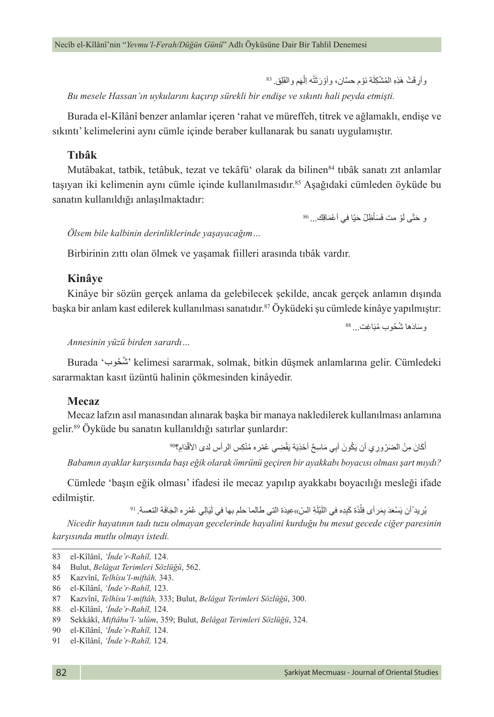وأرِقَتْ هَذِهِ الْمُشْكِلَة نَوْم حسَّان، وأوْرَثَتْه الِمَهم والْقَلِق<sub>. <sup>83</sup></sub> ْ *Bu mesele Hassan'ın uykularını kaçırıp sürekli bir endişe ve sıkıntı hali peyda etmişti.*

Burada el-Kîlânî benzer anlamlar içeren 'rahat ve müreffeh, titrek ve ağlamaklı, endişe ve sıkıntı' kelimelerini aynı cümle içinde beraber kullanarak bu sanatı uygulamıştır.

#### **Tıbâk**

Mutâbakat, tatbik, tetâbuk, tezat ve tekâfü<sup>\*</sup> olarak da bilinen<sup>84</sup> tıbâk sanatı zıt anlamlar tasıyan iki kelimenin aynı cümle içinde kullanılmasıdır.<sup>85</sup> Asağıdaki çümleden öyküde bu sanatın kullanıldığı anlaşılmaktadır:

> و حَتَّى أَوْ مت فَسَأَظِلّ حَيّا في أعْمَاقِك... <sup>86</sup> َؘ<br>ا

*Ölsem bile kalbinin derinliklerinde yaşayacağım…*

Birbirinin zıttı olan ölmek ve yaşamak fiilleri arasında tıbâk vardır.

#### **Kinâye**

Kinâye bir sözün gerçek anlama da gelebilecek şekilde, ancak gerçek anlamın dışında başka bir anlam kast edilerek kullanılması sanatıdır.<sup>87</sup> Öyküdeki şu cümlede kinâye yapılmıştır:

وسَادَها شُخُوب مُبَاغِت <sub>...</sub> <sup>88</sup>

#### *Annesinin yüzü birden sarardı…*

Burada 'حوبُ شُ ' kelimesi sararmak, solmak, bitkin düşmek anlamlarına gelir. Cümledeki sararmaktan kasıt üzüntü halinin çökmesinden kinâyedir.

#### **Mecaz**

Mecaz lafzın asıl manasından alınarak başka bir manaya nakledilerek kullanılması anlamına gelir.89 Öyküde bu sanatın kullanıldığı satırlar şunlardır:

> أَكَانَ مِنْ الضَرُورِي أن يَكُونَ أَبِي مَاسِحٌ أَحْذِيَة يَقْضِي عُمْرِه مُنْكِس الرأس لدى الأَقْدَامِ؟<sup>90</sup> **ٔ**

*Babamın ayaklar karşısında başı eğik olarak ömrünü geçiren bir ayakkabı boyacısı olması şart mıydı?*

Cümlede 'başın eğik olması' ifadesi ile mecaz yapılıp ayakkabı boyacılığı mesleği ifade edilmiştir.<br>يُرِيدُ َأن يَسْعَدَ بِمَر أى فِلْذَة كَبِدِه في اللَّيْلَةِ السّ»عِيدَة التي طالما حلم بها في لَيَالِي عُمْرِه الجَافَة التعسة. <sup>91</sup>

 $\overline{1}$ 

*Nicedir hayatının tadı tuzu olmayan gecelerinde hayalini kurduğu bu mesut gecede ciğer paresinin karşısında mutlu olmayı istedi.*

<sup>83</sup> el-Kîlânî, *'İnde'r-Rahîl,* 124.

<sup>84</sup> Bulut, *Belâgat Terimleri Sözlüğü*, 562.

<sup>85</sup> Kazvînî, *Telhîsu'l-miftâh,* 343.

<sup>86</sup> el-Kîlânî, *'İnde'r-Rahîl,* 123.

<sup>87</sup> Kazvînî, *Telhîsu'l-miftâh,* 333; Bulut, *Belâgat Terimleri Sözlüğü*, 300.

<sup>88</sup> el-Kîlânî, *'İnde'r-Rahîl,* 124.

<sup>89</sup> Sekkâkî, *Miftâhu'l-'ulûm*, 359; Bulut, *Belâgat Terimleri Sözlüğü*, 324.

<sup>90</sup> el-Kîlânî, *'İnde'r-Rahîl,* 124.

<sup>91</sup> el-Kîlânî, *'İnde'r-Rahîl,* 124.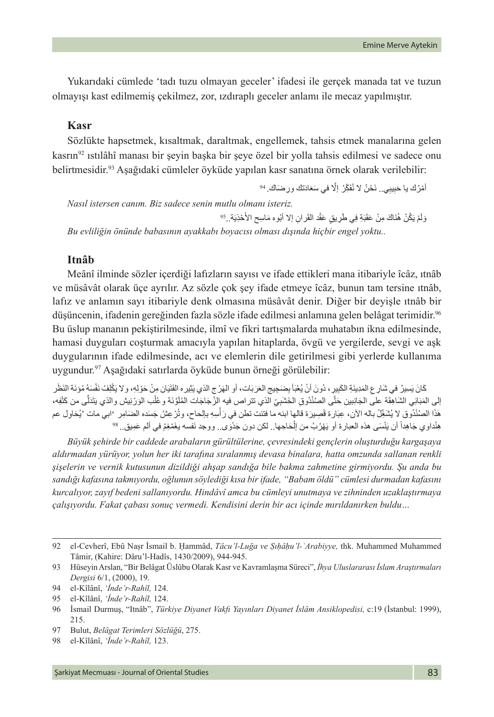Yukarıdaki cümlede 'tadı tuzu olmayan geceler' ifadesi ile gerçek manada tat ve tuzun olmayışı kast edilmemiş çekilmez, zor, ızdıraplı geceler anlamı ile mecaz yapılmıştır.

### **Kasr**

Sözlükte hapsetmek, kısaltmak, daraltmak, engellemek, tahsis etmek manalarına gelen kasrın<sup>92</sup> ıstılâhî manası bir seyin başka bir şeye özel bir yolla tahsis edilmesi ve sadece onu belirtmesidir.93 Aşağıdaki cümleler öyküde yapılan kasr sanatına örnek olarak verilebilir:

أَمْرُكَ يا حَبِيبِي.. نَحْنُ لا نُفَكِّرُ ۖ إِلَا في سَعَادَتكَ ورِ صَنَاكَ. <sup>94</sup>

*Nasıl istersen canım. Biz sadece senin mutlu olmanı isteriz.*

وَلَمْ يَكُنْ هُذَاكَ مِنْ عَقَبَةِ فِي طَرِيقٍ عَقْد القَر انِ إلا أَبُوه مَاسِح الأَخْذِيَة. <sup>95</sup>. ٔ, ٔ<br>ا *Bu evliliğin önünde babasının ayakkabı boyacısı olması dışında hiçbir engel yoktu..*

#### **Itnâb**

Meânî ilminde sözler içerdiği lafızların sayısı ve ifade ettikleri mana itibariyle îcâz, ıtnâb ve müsâvât olarak üçe ayrılır. Az sözle çok şey ifade etmeye îcâz, bunun tam tersine ıtnâb, lafız ve anlamın sayı itibariyle denk olmasına müsâvât denir. Diğer bir deyişle ıtnâb bir düşüncenin, ifadenin gereğinden fazla sözle ifade edilmesi anlamına gelen belâgat terimidir.96 Bu üslup mananın pekiştirilmesinde, ilmî ve fikri tartışmalarda muhatabın ikna edilmesinde, hamasi duyguları coşturmak amacıyla yapılan hitaplarda, övgü ve yergilerde, sevgi ve aşk duygularının ifade edilmesinde, acı ve elemlerin dile getirilmesi gibi yerlerde kullanıma uygundur.97 Aşağıdaki satırlarda öyküde bunun örneği görülebilir:

كَانَ يَسِيرُ في شَارِ عِ الْمَدِينَةِ الكَبِيرِ ، دُونَ أنْ يُعْبَأ بِصَبَحِيج العَرَبَات، أو الهَرْ ج الذي يَثِير ه الفَتَيَان مِنْ حَوْلِهِ، و لا يَكْلِفُ نَفْسَهُ مُوْنَة النَظْر إلى المَبَانِي الشَاهِقَة على الجَانِبين حَتَّى الصُنْدُوقِ الخَشَبِيِّ الذي تتر اص فيه إلزُ جَاجَات المُلَوَّنَة وعُلْب الوَرْنِيش والذي يَثَدَلَّى من كَتْفِه، َل ا<br>ا ∶<br>∶ ا الصُنْدُوق لا يُشَغِّلُ باله الآن، عِبَارة قَصِيرَة قالها ابنه ما فتئت تطن في رَ أسِهِ بالحاح، وتُرْعِثُنُ جَسَده الضَامِر 'ابي مات 'يُحَاوِل عم :<br>ا ْهَذا الصُنْذُوق لا يُشْغِّلُ باله الان، عِبَار ة قَصِيرَة قالها ابنه ما فتَئت تطن في رَ اسِهِ بالِحاح، وتَرْ عِشْ جَسَده الضَـَامِر '<br>هِنْداو ي جَاهِداً أن يَنْسَى هذه العبار ة أو يَهْرُبُ من اِلْحَاجِها.. لكن دون جَدْوَى

*Büyük şehirde bir caddede arabaların gürültülerine, çevresindeki gençlerin oluşturduğu kargaşaya aldırmadan yürüyor, yolun her iki tarafına sıralanmış devasa binalara, hatta omzunda sallanan renkli şişelerin ve vernik kutusunun dizildiği ahşap sandığa bile bakma zahmetine girmiyordu. Şu anda bu sandığı kafasına takmıyordu, oğlunun söylediği kısa bir ifade, "Babam öldü" cümlesi durmadan kafasını kurcalıyor, zayıf bedeni sallanıyordu. Hindâvî amca bu cümleyi unutmaya ve zihninden uzaklaştırmaya çalışıyordu. Fakat çabası sonuç vermedi. Kendisini derin bir acı içinde mırıldanırken buldu…*

<sup>92</sup> el-Cevherî, Ebû Naṣr İsmail b. Ḥammâd, *Tâcu'l-Luğa ve Ṣıḥâḥu'l-ʿArabiyye,* thk. Muhammed Muhammed Tâmir, (Kahire: Dâru'l-Hadîs, 1430/2009), 944-945.

<sup>93</sup> Hüseyin Arslan, "Bir Belâgat Üslûbu Olarak Kasr ve Kavramlaşma Süreci", *İhya Uluslararası İslam Araştırmaları Dergisi* 6/1, (2000), 19.

<sup>94</sup> el-Kîlânî, *'İnde'r-Rahîl,* 124.

<sup>95</sup> el-Kîlânî, *'İnde'r-Rahîl,* 124.

<sup>96</sup> İsmail Durmuş, "Itnâb", *Türkiye Diyanet Vakfı Yayınları Diyanet İslâm Ansiklopedisi,* c:19 (İstanbul: 1999), 215.

<sup>97</sup> Bulut, *Belâgat Terimleri Sözlüğü*, 275.

<sup>98</sup> el-Kîlânî, *'İnde'r-Rahîl,* 123.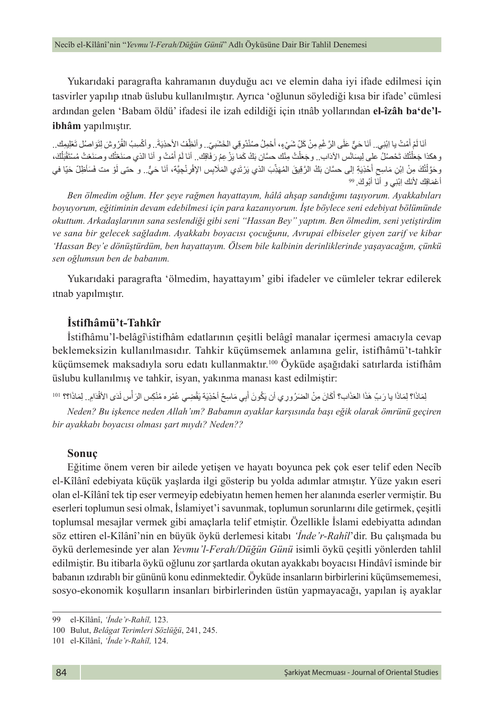Yukarıdaki paragrafta kahramanın duyduğu acı ve elemin daha iyi ifade edilmesi için tasvirler yapılıp ıtnab üslubu kullanılmıştır. Ayrıca 'oğlunun söylediği kısa bir ifade' cümlesi ardından gelen 'Babam öldü' ifadesi ile izah edildiği için ıtnâb yollarından **el-îzâh ba'de'libhâm** yapılmıştır.

أنَا لَمْ أَمُتْ يا ابْنِي.. أنَا حَيٍّ عَلَى الرَّغْمِ مِنْ كَلِّ شَيْءٍ، أَحْمِلُ صُنْدُوقِي الخَشَبيّ.. وأنَظِّفُ الأحذِيَةَ . وأكْسِبُ القُرُوشَ لِتَوَاصُلْ تَعْلِيمِك.. َؘ<br>ا ؘ<br>ؙ وهكذا جَعَلْتُكَ تَحْصُلُ على لِيسَانُس الآدَاب . وجَعَلْتُ مِنْك حسَّان بَكْ كَمَا يَزْ عِمُ رَفَاقِك. أنَا لَمْ أَمُتْ و أنَا الذي صَنَعْتُك وصَنَعْتُ مُسْتَقْبَلُكَ، َل اً<br>ا َ ً<br>ا ا<br>ا ان<br>ا تُكَ مِنْ اِبْنِ مَاسِحٍ أَحْذِيَةِ إلى حسَّان بَكْ الرَّقِيقَ المُهَذِّبَ الذي يَرْتَدِي المَلَابِس الإِفْرِنْجِيَّة، أنَا حَيٍّ.. و حتى لَوْ مت فَسَأظِلَّ حَيَّا في<br>. ٔ<br>ا ّْ **ٔ** وحَوَّلْنَكَ مِنْ اِبْنِ مَاسِحِ اخْذِيَةِ إِلَم<br>أعْمَاقِكَ لأنك اِبْنِي و أنَا أبُوكَ. <sup>99</sup>

*Ben ölmedim oğlum. Her şeye rağmen hayattayım, hâlâ ahşap sandığımı taşıyorum. Ayakkabıları boyuyorum, eğitiminin devam edebilmesi için para kazanıyorum. İşte böylece seni edebiyat bölümünde okuttum. Arkadaşlarının sana seslendiği gibi seni "Hassan Bey" yaptım. Ben ölmedim, seni yetiştirdim ve sana bir gelecek sağladım. Ayakkabı boyacısı çocuğunu, Avrupai elbiseler giyen zarif ve kibar 'Hassan Bey'e dönüştürdüm, ben hayattayım. Ölsem bile kalbinin derinliklerinde yaşayacağım, çünkü sen oğlumsun ben de babanım.*

Yukarıdaki paragrafta 'ölmedim, hayattayım' gibi ifadeler ve cümleler tekrar edilerek ıtnab yapılmıştır.

#### **İstifhâmü't-Tahkîr**

İstifhâmu'l-belâgî\istifhâm edatlarının çeşitli belâgî manalar içermesi amacıyla cevap beklemeksizin kullanılmasıdır. Tahkir küçümsemek anlamına gelir, istifhâmü't-tahkîr küçümsemek maksadıyla soru edatı kullanmaktır.100 Öyküde aşağıdaki satırlarda istifhâm üslubu kullanılmış ve tahkir, isyan, yakınma manası kast edilmiştir:

لِمَاذَا؟ لِمَاذَا يا رَبِّ هَذَا العَذَاب؟ أَكَانَ مِنْ الضَرُورِي أن يَكُونَ أَبِي مَاسِحٌ أَحْذِيَة يَقْضِي عُمْر ه مُنْكِس الرَأْس لَدَى الأقْدَامِ.. لِمَاذَا؟؟ النقصية **ٔ** ֧֧֧֚֚֝֝֓֝֓<u>֚</u>

*Neden? Bu işkence neden Allah'ım? Babamın ayaklar karşısında başı eğik olarak ömrünü geçiren bir ayakkabı boyacısı olması şart mıydı? Neden??*

#### **Sonuç**

Eğitime önem veren bir ailede yetişen ve hayatı boyunca pek çok eser telif eden Necîb el-Kîlânî edebiyata küçük yaşlarda ilgi gösterip bu yolda adımlar atmıştır. Yüze yakın eseri olan el-Kîlânî tek tip eser vermeyip edebiyatın hemen hemen her alanında eserler vermiştir. Bu eserleri toplumun sesi olmak, İslamiyet'i savunmak, toplumun sorunlarını dile getirmek, çeşitli toplumsal mesajlar vermek gibi amaçlarla telif etmiştir. Özellikle İslami edebiyatta adından söz ettiren el-Kîlânî'nin en büyük öykü derlemesi kitabı *'İnde'r-Rahîl*'dir. Bu çalışmada bu öykü derlemesinde yer alan *Yevmu'l-Ferah/Düğün Günü* isimli öykü çeşitli yönlerden tahlil edilmiştir. Bu itibarla öykü oğlunu zor şartlarda okutan ayakkabı boyacısı Hindâvî isminde bir babanın ızdırablı bir gününü konu edinmektedir. Öyküde insanların birbirlerini küçümsememesi, sosyo-ekonomik koşulların insanları birbirlerinden üstün yapmayacağı, yapılan iş ayaklar

<sup>99</sup> el-Kîlânî, *'İnde'r-Rahîl,* 123.

<sup>100</sup> Bulut, *Belâgat Terimleri Sözlüğü*, 241, 245.

<sup>101</sup> el-Kîlânî, *'İnde'r-Rahîl,* 124.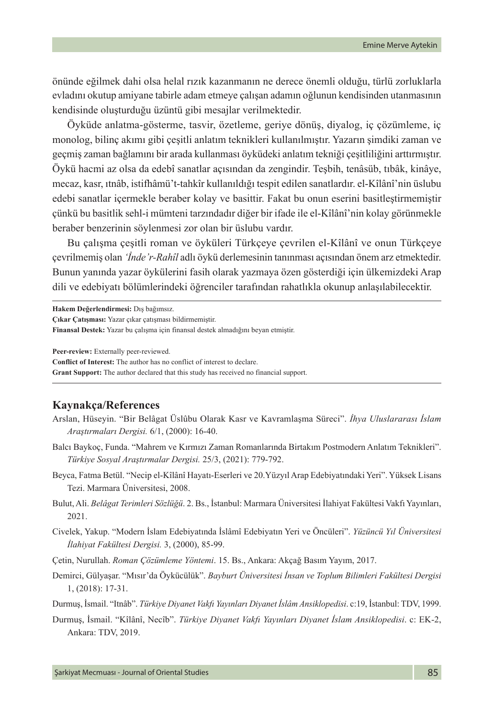önünde eğilmek dahi olsa helal rızık kazanmanın ne derece önemli olduğu, türlü zorluklarla evladını okutup amiyane tabirle adam etmeye çalışan adamın oğlunun kendisinden utanmasının kendisinde oluşturduğu üzüntü gibi mesajlar verilmektedir.

Öyküde anlatma-gösterme, tasvir, özetleme, geriye dönüş, diyalog, iç çözümleme, iç monolog, bilinç akımı gibi çeşitli anlatım teknikleri kullanılmıştır. Yazarın şimdiki zaman ve geçmiş zaman bağlamını bir arada kullanması öyküdeki anlatım tekniği çeşitliliğini arttırmıştır. Öykü hacmi az olsa da edebî sanatlar açısından da zengindir. Teşbih, tenâsüb, tıbâk, kinâye, mecaz, kasr, ıtnâb, istifhâmü't-tahkîr kullanıldığı tespit edilen sanatlardır. el-Kîlânî'nin üslubu edebi sanatlar içermekle beraber kolay ve basittir. Fakat bu onun eserini basitleştirmemiştir çünkü bu basitlik sehl-i mümteni tarzındadır diğer bir ifade ile el-Kîlânî'nin kolay görünmekle beraber benzerinin söylenmesi zor olan bir üslubu vardır.

Bu çalışma çeşitli roman ve öyküleri Türkçeye çevrilen el-Kîlânî ve onun Türkçeye çevrilmemiş olan *'İnde'r-Rahîl* adlı öykü derlemesinin tanınması açısından önem arz etmektedir. Bunun yanında yazar öykülerini fasih olarak yazmaya özen gösterdiği için ülkemizdeki Arap dili ve edebiyatı bölümlerindeki öğrenciler tarafından rahatlıkla okunup anlaşılabilecektir.

**Hakem Değerlendirmesi:** Dış bağımsız.

**Çıkar Çatışması:** Yazar çıkar çatışması bildirmemiştir.

**Finansal Destek:** Yazar bu çalışma için finansal destek almadığını beyan etmiştir.

**Peer-review:** Externally peer-reviewed.

**Conflict of Interest:** The author has no conflict of interest to declare.

**Grant Support:** The author declared that this study has received no financial support.

#### **Kaynakça/References**

- Arslan, Hüseyin. "Bir Belâgat Üslûbu Olarak Kasr ve Kavramlaşma Süreci". *İhya Uluslararası İslam Araştırmaları Dergisi.* 6/1, (2000): 16-40.
- Balcı Baykoç, Funda. "Mahrem ve Kırmızı Zaman Romanlarında Birtakım Postmodern Anlatım Teknikleri". *Türkiye Sosyal Araştırmalar Dergisi.* 25/3, (2021): 779-792.
- Beyca, Fatma Betül. "Necip el-Kîlânî Hayatı-Eserleri ve 20.Yüzyıl Arap Edebiyatındaki Yeri". Yüksek Lisans Tezi. Marmara Üniversitesi, 2008.
- Bulut, Ali. *Belâgat Terimleri Sözlüğü*. 2. Bs., İstanbul: Marmara Üniversitesi İlahiyat Fakültesi Vakfı Yayınları, 2021.
- Civelek, Yakup. "Modern İslam Edebiyatında İslâmî Edebiyatın Yeri ve Öncüleri". *Yüzüncü Yıl Üniversitesi İlahiyat Fakültesi Dergisi.* 3, (2000), 85-99.
- Çetin, Nurullah. *Roman Çözümleme Yöntemi*. 15. Bs., Ankara: Akçağ Basım Yayım, 2017.
- Demirci, Gülyaşar. "Mısır'da Öykücülük". *Bayburt Üniversitesi İnsan ve Toplum Bilimleri Fakültesi Dergisi* 1, (2018): 17-31.

Durmuş, İsmail. "Itnâb". *Türkiye Diyanet Vakfı Yayınları Diyanet İslâm Ansiklopedisi*. c:19, İstanbul: TDV, 1999.

Durmuş, İsmail. "Kîlânî, Necîb". *Türkiye Diyanet Vakfı Yayınları Diyanet İslam Ansiklopedisi*. c: EK-2, Ankara: TDV, 2019.